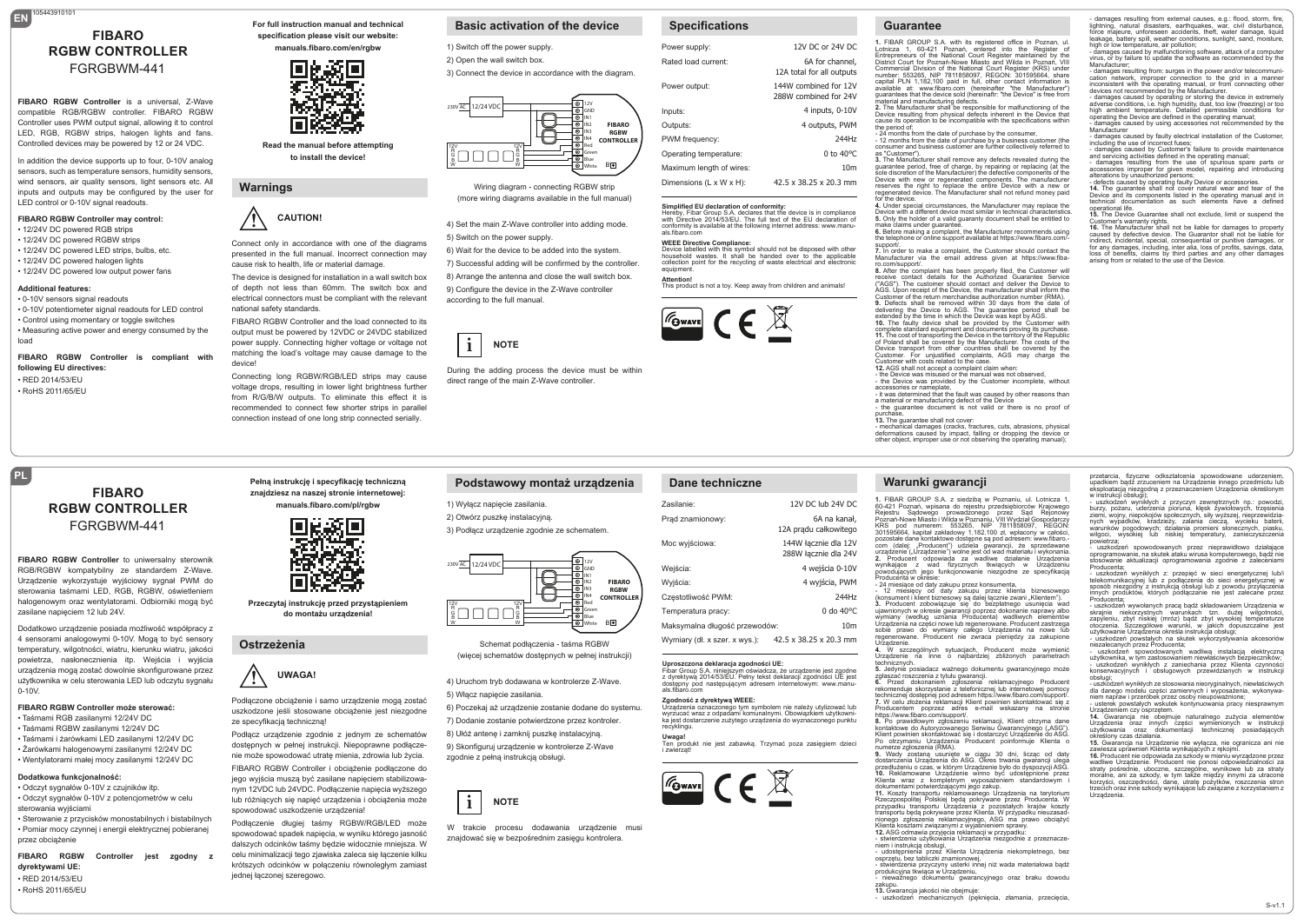# **EN** 105443910101 **FIBARO RGBW CONTROLLER** FGRGBWM-441

**FIBARO RGBW Controller** is a universal, Z-Wave compatible RGB/RGBW controller. FIBARO RGBW Controller uses PWM output signal, allowing it to control LED, RGB, RGBW strips, halogen lights and fans. Controlled devices may be powered by 12 or 24 VDC.

In addition the device supports up to four, 0-10V analog sensors, such as temperature sensors, humidity sensors, wind sensors, air quality sensors, light sensors etc. All inputs and outputs may be configured by the user for LED control or 0-10V signal readouts.

#### **FIBARO RGBW Controller may control:** • 12/24V DC powered RGB strips

- 12/24V DC powered RGBW strips
- 12/24V DC powered LED strips, bulbs, etc.
- 12/24V DC powered halogen lights
- 12/24V DC powered low output power fans

## **Additional features:**

• 0-10V sensors signal readouts • 0-10V potentiometer signal readouts for LED control • Control using momentary or toggle switches • Measuring active power and energy consumed by the load

**FIBARO RGBW Controller is compliant with following EU directives:** • RED 2014/53/EU

> **FIBARO RGBW CONTROLLER** FGRGBWM-441

**FIBARO RGBW Controller** to uniwersalny sterownik RGB/RGBW kompatybilny ze standardem Z-Wave. Urządzenie wykorzystuje wyjściowy sygnał PWM do sterowania taśmami LED, RGB, RGBW, oświetleniem halogenowym oraz wentylatorami. Odbiorniki mogą być

Dodatkowo urządzenie posiada możliwość współpracy z 4 sensorami analogowymi 0-10V. Mogą to być sensory temperatury, wilgotności, wiatru, kierunku wiatru, jakości powietrza, nasłonecznienia itp. Wejścia i wyjścia urządzenia mogą zostać dowolnie skonfigurowane przez użytkownika w celu sterowania LED lub odczytu sygnału

• Sterowanie z przycisków monostabilnych i bistabilnych • Pomiar mocy czynnej i energii elektrycznej pobieranej

**FIBARO RGBW Controller jest zgodny z** 

**FIBARO RGBW Controller może sterować:** • Taśmami RGB zasilanymi 12/24V DC • Taśmami RGBW zasilanymi 12/24V DC • Taśmami i żarówkami LED zasilanymi 12/24V DC • Żarówkami halogenowymi zasilanymi 12/24V DC • Wentylatorami małej mocy zasilanymi 12/24V DC

zasilane napięciem 12 lub 24V.

**Dodatkowa funkcjonalność:** • Odczyt sygnałów 0-10V z czujników itp. • Odczyt sygnałów 0-10V z potencjometrów w celu

sterowania wyjściami

przez obciążenie

**dyrektywami UE:** • RED 2014/53/EU • RoHS 2011/65/EU

• RoHS 2011/65/EU

**PL**

0-10V.

**For full instruction manual and technical specification please visit our website:** 

### **manuals.fibaro.com/en/rgbw**



**Read the manual before attempting to install the device!**

**Warnings**

## **! CAUTION!**

**presented in the full manual. Incorrect connection may** Connect only in accordance with one of the diagrams cause risk to health, life or material damage.

The device is designed for installation in a wall switch box of depth not less than 60mm. The switch box and electrical connectors must be compliant with the relevant national safety standards.

FIBARO RGBW Controller and the load connected to its output must be powered by 12VDC or 24VDC stabilized power supply. Connecting higher voltage or voltage not matching the load's voltage may cause damage to the

device! Connecting long RGBW/RGB/LED strips may cause voltage drops, resulting in lower light brightness further from R/G/B/W outputs. To eliminate this effect it is recommended to connect few shorter strips in parallel connection instead of one long strip connected serially.

**Przeczytaj instrukcję przed przystąpieniem do montażu urządzenia!**

 uszkodzone jeśli stosowane obciążenie jest niezgodne

Podłącz urządzenie zgodnie z jednym ze schematów dostępnych w pełnej instrukcji. Niepoprawne podłączenie może spowodować utratę mienia, zdrowia lub życia. FIBARO RGBW Controller i obciążenie podłączone do jego wyjścia muszą być zasilane napięciem stabilizowanym 12VDC lub 24VDC. Podłączenie napięcia wyższego lub różniących się napięć urządzenia i obciążenia może

Podłączenie długiej taśmy RGBW/RGB/LED może spowodować spadek napięcia, w wyniku którego jasność dalszych odcinków taśmy będzie widocznie mniejsza. W celu minimalizacji tego zjawiska zaleca się łączenie kilku krótszych odcinków w połączeniu równoległym zamiast

Podłączone obciążenie i samo urządzenie mogą zostać

**UWAGA!** 

O

П

spowodować uszkodzenie urządzenia!

ze specyfikacją techniczną!

**Ostrzeżenia**

jednej łączonej szeregowo.

**!**

# **Basic activation of the device**

2) Open the wall switch box. 3) Connect the device in accordance with the diagram.

1) Switch off the power supply.



Wiring diagram - connecting RGBW strip (more wiring diagrams available in the full manual)

4) Set the main Z-Wave controller into adding mode.

5) Switch on the power supply.

6) Wait for the device to be added into the system. 7) Successful adding will be confirmed by the controller.

8) Arrange the antenna and close the wall switch box. 9) Configure the device in the Z-Wave controller according to the full manual.



 direct range of the main Z-Wave controller. During the adding process the device must be within

# **Specifications**

| Power supply:            | 12V DC or 24V DC                               |
|--------------------------|------------------------------------------------|
| Rated load current:      | 6A for channel,<br>12A total for all outputs   |
| Power output:            | 144W combined for 12V<br>288W combined for 24V |
| Inputs:                  | 4 inputs, 0-10V                                |
| Outputs:                 | 4 outputs, PWM                                 |
| PWM frequency:           | 244Hz                                          |
| Operating temperature:   | $0$ to $40^{\circ}$ C                          |
| Maximum length of wires: | 10 <sub>m</sub>                                |
| Dimensions (L x W x H):  | 42.5 x 38.25 x 20.3 mm                         |

**Simplified EU declaration of conformity:**<br>Hereby, Fibar Group S.A. declares that the device is in compliance<br>with Directive 2014/53/EU. The full text of the EU declaration of conformity is available at the following internet address: www.manu-

#### **WEEE Directive Compliance:**

als.fibaro.com

Device labelled with this symbol should not be disposed with other household wastes. It shall be handed over to the applicable collection point for the recycling of waste electrical and electronic equipment **Attention!** This product is not a toy. Keep away from children and animals!

 $\sqrt{r_{\text{Gwave}}}$   $\in \mathbb{R}$ 

# **Dane techniczne**

| Zasilanie:                    | 12V DC lub 24V DC                            |
|-------------------------------|----------------------------------------------|
| Prad znamionowy:              | 6A na kanał,<br>12A pradu całkowitego        |
| Moc wyjściowa:                | 144W łacznie dla 12V<br>288W łacznie dla 24V |
| Wejścia:                      | 4 wejścia 0-10V                              |
| Wyjścia:                      | 4 wyjścia, PWM                               |
| Czestotliwość PWM:            | 244Hz                                        |
| Temperatura pracy:            | 0 do 40°C                                    |
| Maksymalna długość przewodów: | 10 <sub>m</sub>                              |
| Wymiary (dł. x szer. x wys.): | 42.5 x 38.25 x 20.3 mm                       |
|                               |                                              |

**Zgodność z dyrektywą WEEE:**<br>Urządzenia oznaczonego tym symbolem nie należy utylizować lub<br>wyrzucać wraz z odpadami komunalnymi. Obowiązkiem użytkowni-<br>ka jest dostarczenie zużytego urządzenia do wyznaczonego punktu

produkt nie jest zabawką. Trzymać poza zasięgiem dzieci

#### **Uproszczona deklaracja zgodności UE:**

 $\boxed{\mathcal{F}_{\text{Gwave}}}\in \mathbb{R}$ 

4) Uruchom tryb dodawana w kontrolerze Z-Wave. Fibar Group S.A. niniejszym oświadcza, że urządzenie jest zgodne z dyrektywą 2014/53/EU. Pełny tekst deklaracji zgodności UE jest dostępny pod następującym adresem internetowym: www.manu-als.fibaro.com

> recyklingu. **Uwaga!**

i zwierząt!

zgodnie z pełną instrukcją obsługi.

 znajdować się w bezpośrednim zasięgu kontrolera. W trakcie procesu dodawania urządzenie musi

# 1. FIBAR GROUP S.A. with its registered office in Poznan, ul.<br>Lotnicza 1, 60-421 Poznań, entered into the Register of<br>Entrepreneurs of the National Court Register maintained by the<br>District Court for Poznań-Nowe Miasto and Commercial Division of the National Court Register (KRS) under number: 553265, NIP 7811858097, REGON: 301595664, share capital PLN 1,182,100 paid in full, other contact information is available at: www.fibaro.com (hereinafter "the Manufacturer")<br>quarantees that the device sold (hereinaftr: "the Device" is free from

**Guarantee**

guarantees that the device sold (hereinaftr: "the Device" is free from<br>material and manufacturing defects.<br>2. The Manufacturer shall be responsible for malfunctioning of the<br>Device resulting from physical defects inherent the period of:

are persous.<br>- 24 months from the date of purchase by the consumer,<br>- 12 months from the date of purchase by a business customer (the - 12 months from the date of purchase by a business customer (the consumer and business customer are further collectively referred to

as "Customer"). **3.** The Manufacturer shall remove any defects revealed during the guarantee period, free of charge, by repairing or replacing (at the sole discretion of the Manufacturer) the defective components of the

Device with new or regenerated components. The manufacture reserves the right to replace the entire Device with a new or regenerated device. The Manufacturer shall not refund money paid

for the device.<br>4. Under special circumstances, the Manufacturer may replace the<br>Device with a different device most similar in technical characteristics.<br>5. Only the holder of a valid guaranty document shall be entitled t

make claims under guarantee. **6.** Before making a complaint, the Manufacturer recommends using the telephone or online support available at https://www.fibaro.com/-

support/. **7.** In order to make a complaint, the Customer should contact the Manufacturer via the email address given at https://www.fiba-

ro.com/support/.<br>8. After the complaint has been properly filed, the Customer will<br>receive contact details for the Authorized Guarantee Service<br>("AGS"). The customer should contact and deliver the Device to<br>AGS. Upon recei Customer of the return merchandise authorization number (RMA).<br>
O. Defects shall be removed within 30 days from the date of<br>
elvivering the Device to AGS. The guarantee period shall be<br>
extended by the finite in which the

of Poland shall be covered by the Manufacturer. The costs of the Device transport from other countries shall be covered by the Customer. For unjustified complaints, AGS may charge the Customer with costs related to the case.<br>12. AGS shall not accept a complaint claim when

12. AGS shall not accept a complaint claim when:<br>- the Device was misused or the manual was not observed,<br>- the Device was provided by the Customer incomplete, without<br>accessories or nameplate,<br>- it was determined that the

a material or manufacturing defect of the Device - the guarantee document is not valid or there is no proof of

purchase,<br>13. The guarantee shall not cover:<br>- mechanical damages (cracks, fractures, cuts, abrasions, physical<br>deformations caused by impact, falling or dropping the device or<br>other object, improper use or not observing t

### **Warunki gwarancji**

**1.** FIBAR GROUP S.A. z siedzibą w Poznaniu, ul. Lotnicza 1, 60-421 Poznań, wpisana do rejestru przedsiębiorców Krajowego<br>Rejestru – Sądowego – prowadzonego – przez – Sąd – Rejonowy<br>Poznań-Nowe Miasto i Wilda w Poznaniu, VIII Wydział Gospodarczy<br>KRS – pod – numerem: – 553265, – NIP pozostałe dane kontaktowe dostępne są pod adresem: www.fibaro. com (dalej: "Producent") udziela gwarancji, że sprzedawane<br>urządzenie ("Urządzenie") wolne jest od wad materiału i wykonania. 2. Producent odpowiada za wadliwe działanie Urządzenia<br>wynikające z wad fizycznych tkwiących w Urządzeniu<br>powodujących jego funkcjonowanie niezgodne ze specyfikacją<br>Producenta wokresie:<br>- 42 miesiące od daty zakupu przez k

**3.** Producent zobowiązuje się do bezpłatnego usunięcia wad ujawnionych w okresie gwarancji poprzez dokonanie naprawy albo wymiany (według uznania Producenta) wadliwych elementów<br>Urządzenia na części nowe lub regenerowane. Producent zastrzega<br>sobie prawo do wymiany całego Urządzenia na nowe lub<br>regenerowane. Producent nie zwraca pieniędzy za z

Urządzenie.<br>**4. W szczególnych sytuacjach, Producent może wymienić**<br>Urządzenie na inne o najbardziej zbliżonych parametrach technicznych.<br>5. Jedynie posiadacz ważnego dokumentu gwarancyjnego może

5. Jedynie posiadacz ważnego dokumentu gwarancyjnego może<br>zglaszać roszczenia z tytułu gwarancji.<br>6. Przed dokonaniem zgłoszenia reklamacyjnego Producent<br>rekomenduje skorzystanie z telefonicznej lub internetowej pomocy<br>tec

https://www.fibaro.com/support/.<br>8. Po prawidłowym zgłoszeniu reklamacji, Klient otrzyma dane<br>Kontaktowe do Autoryzowanego Serwisu Gwarancyjnego ("ASG")<br>Klient powinien skontaktować się i dostarczyć Urządzenie do ASG.<br>Po o **9.** Wady zostaną usunięte w ciągu 30 dni, licząc od daty<br>dostarczenia Urządzenia do ASG. Okres trwania gwarancji ulega<br>przedłużeniuoczas, w którym Urządzenie było do dyspozycji ASG.<br>10. Reklamowane Urządzenie winno być ud

Klienta wraz z kompletnym wyposażeniem standardowym i<br>dokumentami.potwierdzającymi.jego.zakup. dokumentami potwierdzającymi jego zakup.<br>11. Koszty transportu reklamowanego Urządzenia na terytorium<br>Rzeczpospolitej Polskiej będą pokrywane przez Producenta. W<br>przypadku transportu Urządzenia z pozostałych krajów koszty<br> **12.** ASG odmawia przyjęcia reklamacji w przypadku:

- stwierdzenia użytkowania Urządzenia nieźgodnie z przeznacze-<br>niem i instrukcia obsługi.

niem i instrukcją obsługi,<br>- udostępnienia przez Klienta Urządzenia niekompletnego, bez<br>osprzętu, bez tabliczki znamionowej,<br>- stwierdzenia przyczyny usterki innej niż wada materiałowa bądź<br>produkcyjna tkwiąca w Urządzeniu

- nieważnego dokumentu gwarancyjnego oraz braku dowodu

zakupu. **13.** Gwarancja jakości nie obejmuje:

uszkodzeń mechanicznych (peknięcia, złamania, przeciecia,

# - damages resulting from external causes, e.g.: flood, storm, fire, lightning, natural disasters, earthquakes, war, civil disturbance, force majeure, unforeseen accidents, theft, water damage, liquid

leakage, battery spill, weather conditions, sunlight, sand, moisture,<br>high or low temperature, air pollution;<br>- damages caused by malfunctioning software, attack of a computer<br>virus, or by failure to update the software as

Manufacturer; - damages resulting from: surges in the power and/or telecommunication network, improper connection to the grid in a manner inconsistent with the operating manual, or from connecting other devices not recommended by the Manufacturer.

- damages caused by operating or storing the device in extremely<br>adverse conditions, i.e. high humidity, dust, too low (freezing) or too<br>high ambient temperature. Detailed permissible conditions for<br>operating the Device ar - damages caused by using accessories not recommended by the Manufacturer

wanulacturer<br>- damages caused by faulty electrical installation of the Customer including the use of incorrect fuses;<br>- damages caused by Customer's failure to provide maintenance

- damages caused by Customer's failure to provide maintenance<br>and servicing activities defined in the operating manual;<br>- damages resulting from the use of spurious spare parts or<br>accessories improper for given model, repa

- defects caused by operating faulty Device or accessories. **14.** The guarantee shall not cover natural wear and tear of the Device and its components listed in the operating manual and in technical documentation as such elements have a defined<br>operational.life

operational life. **15.** The Device Guarantee shall not exclude, limit or suspend the

Customer's warranty rights.<br>**16.** The Manufacturer shall not be liable for damages to property<br>caused by defective device. The Guarantor shall not be liable for indirect, incidental, special, consequential or punitive damages, or for any damages, including, inter alia, loss of profits, savings, data, loss of benefits, claims by third parties and any other damages arising from or related to the use of the Device.

przetarcia, fizyczne odkształcenia spowodowane uderzeniem, upadkiem bądź zrzuceniem na Urządzenie innego przedmiotu lub eksploatacją niezgodną z przeznaczeniem Urządzenia określonym w instrukcji obsługi); - uszkodzeń wynikłych z przyczyn zewnętrznych np.: powodzi, burzy, pożaru, uderzenia pioruna, klęsk żywiołowych, trzęsienia<br>ziemi, wojny, niepokojów społecznych, siły wyższej, nieprzewidzia-<br>nych wypadków, kradzieży, zalania cieczą, wycieku baterii, warunków pogodowych; działania promieni słonecznych, piasku, wilgoci, wysokiej lub niskiej temperatury, zanieczyszczenia powietrza; - uszkodzeń spowodowanych przez nieprawidłowo działające oprogramowanie, na skutek ataku wirusa komputerowego, bądź nie stosowanie aktualizacji oprogramowania zgodnie z zaleceniami

- uszkodzeń wynikłych z: przepięć w sieci energetycznej lub/i telekomunikacyjnej lub z podłączenia do sieci energetycznej w sposób niezgodny z instrukcją obsługi lub z powodu przyłączenia innych produktów, których podłączanie nie jest zalecane przez Producenta; - uszkodzeń wywołanych pracą bądź składowaniem Urządzenia w skrajnie niekorzystnych warunkach tzn. dużej wilgotności, zapyleniu, zbyt niskiej (mróz) bądź zbyt wysokiej temperaturze otoczenia. Szczegółowe warunki, w jakich dopuszczalne jest użytkowanie Urządzenia określa instrukcja obsługi; - uszkodzeń powstałych na skutek wykorzystywania akcesoriów niezalecanych przez Producenta;<br>- uszkodzeń spowodowanych wadliwą instalacją elektryczną<br>użytkownika, w tym zastosowaniem niewłaściwych bezpieczników;<br>- uszkodzeń wynikłych z zaniechania przez Kilenta czynności<br>konserwacyj

- uszkodzeń wynikłych ze stosowania nieoryginalnych, niewłaściwych dla danego modelu części zamiennych i wyposażenia, wykonywa-

niem napraw i przeróbek przez osoby nieupoważnione;<br>– usterek powstałych wskutek kontynuowania pracy niesprawnym<br>Urządzeniem czy osprzętem.<br>14. Gwarancja nie obejmuje naturalnego zużycia elementów<br>Urządzenia oraz dokumenta

**15.** Gwarancja na Urządzenie nie wyłącza, nie ogranicza ani nie zawiesza uprawnień Klienta wynikających z rękojmi.<br>18. Producent nie odpowiada za szkody w mieniu wyrządzone przez<br>wadliwe Urządzenie. Producent nie ponosi odpowiedzialności za straty<br>pośrednie, uboczne, szczególne, wyniko

S-v1.1

Producenta;

obsługi;

Urządzenia.

określony czas działania.





Schemat podłączenia - taśma RGBW (więcej schematów dostępnych w pełnej instrukcji)

5) Włącz napięcie zasilania.

6) Poczekaj aż urządzenie zostanie dodane do systemu.

7) Dodanie zostanie potwierdzone przez kontroler.

8) Ułóż antenę i zamknij puszkę instalacyjną.

9) Skonfiguruj urządzenie w kontrolerze Z-Wave

**i NOTE** 

**Podstawowy montaż urządzenia**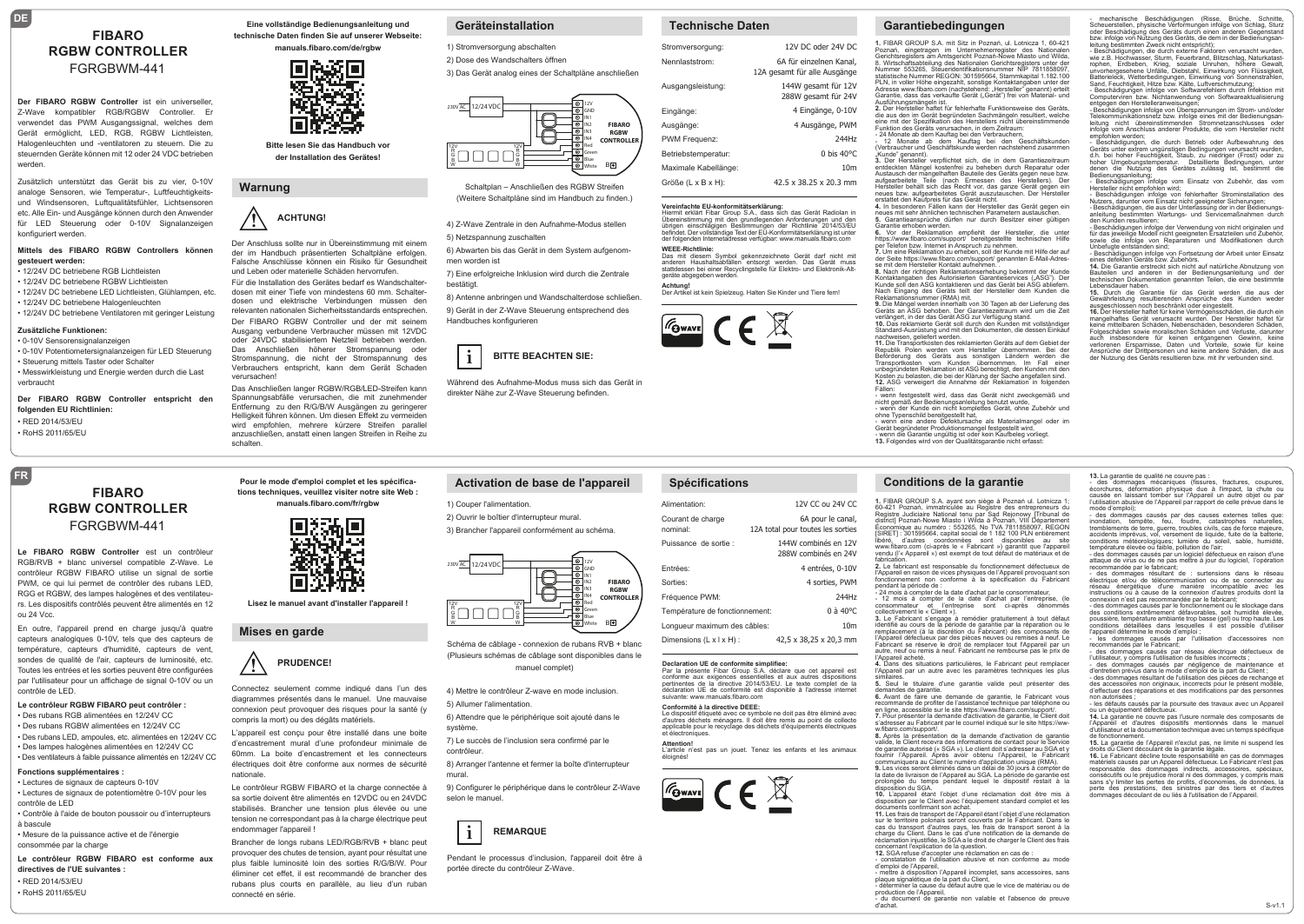# **FIBARO RGBW CONTROLLER** FGRGBWM-441

**DE**

**Der FIBARO RGBW Controller** ist ein universeller, Z-Wave kompatibler RGB/RGBW Controller. Er verwendet das PWM Ausgangssignal, welches dem Gerät ermöglicht, LED, RGB, RGBW Lichtleisten, Halogenleuchten und -ventilatoren zu steuern. Die zu steuernden Geräte können mit 12 oder 24 VDC betrieben werden.

Zusätzlich unterstützt das Gerät bis zu vier, 0-10V analoge Sensoren, wie Temperatur-, Luftfeuchtigkeitsund Windsensoren, Luftqualitätsfühler, Lichtsensoren etc. Alle Ein- und Ausgänge können durch den Anwender für LED Steuerung oder 0-10V Signalanzeigen konfiguriert werden.

#### **Mittels des FIBARO RGBW Controllers können gesteuert werden:**

- 12/24V DC betriebene RGB Lichtleisten
- 12/24V DC betriebene RGBW Lichtleisten • 12/24V DC betriebene LED Lichtleisten, Glühlampen, etc.
- 12/24V DC betriebene Halogenleuchten • 12/24V DC betriebene Ventilatoren mit geringer Leistung
- 

# **Zusätzliche Funktionen:**

**FR**

• 0-10V Sensorensignalanzeigen • 0-10V Potentiometersignalanzeigen für LED Steuerung • Steuerung mittels Taster oder Schalter • Messwirkleistung und Energie werden durch die Last verbraucht

**Der FIBARO RGBW Controller entspricht den folgenden EU Richtlinien:** • RED 2014/53/EU  $\cdot$  BoHS 2011/65/EU

> **FIBARO RGBW CONTROLLER** FGRGBWM-441

**Le FIBARO RGBW Controller** est un contrôleur RGB/RVB + blanc universel compatible Z-Wave. Le contrôleur RGBW FIBARO utilise un signal de sortie PWM, ce qui lui permet de contrôler des rubans LED, RGG et RGBW, des lampes halogènes et des ventilateurs. Les dispositifs contrôlés peuvent être alimentés en 12 ou 24 Vcc.

En outre, l'appareil prend en charge jusqu'à quatre capteurs analogiques 0-10V, tels que des capteurs de température, capteurs d'humidité, capteurs de vent, sondes de qualité de l'air, capteurs de luminosité, etc. Toutes les entrées et les sorties peuvent être configurées par l'utilisateur pour un affichage de signal 0-10V ou un contrôle de LED.

#### **Le contrôleur RGBW FIBARO peut contrôler :**

• Des rubans RGB alimentées en 12/24V CC • Des rubans RGBW alimentées en 12/24V CC • Des rubans LED, ampoules, etc. alimentées en 12/24V CC • Des lampes halogènes alimentées en 12/24V CC • Des ventilateurs à faible puissance alimentés en 12/24V CC

## **Fonctions supplémentaires :**

• Lectures de signaux de capteurs 0-10V • Lectures de signaux de potentiomètre 0-10V pour les contrôle de LED

• Contrôle à l'aide de bouton poussoir ou d'interrupteurs à bascule • Mesure de la puissance active et de l'énergie

consommée par la charge **Le contrôleur RGBW FIBARO est conforme aux** 

**directives de l'UE suivantes :** • RED 2014/53/EU • RoHS 2011/65/FL

**Eine vollständige Bedienungsanleitung und technische Daten finden Sie auf unserer Webseite:** 

**manuals.fibaro.com/de/rgbw**



**Bitte lesen Sie das Handbuch vor der Installation des Gerätes!**

# **Warnung**

verursachen!

**!**

nationale.

endommager l'appareil !

connecté en série.

## **! ACHTUNG!**

 der im Handbuch präsentierten Schaltpläne erfolgen. Der Anschluss sollte nur in Übereinstimmung mit einem Falsche Anschlüsse können ein Risiko für Gesundheit und Leben oder materielle Schäden hervorrufen.

Für die Installation des Gerätes bedarf es Wandschalterdosen mit einer Tiefe von mindestens 60 mm. Schalterdosen und elektrische Verbindungen müssen den relevanten nationalen Sicherheitsstandards entsprechen. Der FIBARO RGBW Controller und der mit seinem Ausgang verbundene Verbraucher müssen mit 12VDC oder 24VDC stabilisiertem Netzteil betrieben werden. Das Anschließen höherer Stromspannung oder Stromspannung, die nicht der Stromspannung des Verbrauchers entspricht, kann dem Gerät Schaden

Das Anschließen langer RGBW/RGB/LED-Streifen kann Spannungsabfälle verursachen, die mit zunehmender Entfernung zu den R/G/B/W Ausgängen zu geringerer Helligkeit führen können. Um diesen Effekt zu vermeiden wird empfohlen, mehrere kürzere Streifen parallel anzuschließen, anstatt einen langen Streifen in Reihe zu schalten.

**Pour le mode d'emploi complet et les spécifications techniques, veuillez visiter notre site Web : manuals.fibaro.com/fr/rgbw**

**Lisez le manuel avant d'installer l'appareil !**

623

 diagrammes présentés dans le manuel. Une mauvaise

L'appareil est conçu pour être installé dans une boite d'encastrement mural d'une profondeur minimale de 60mm. La boite d'encastrement et les connecteurs électriques doit être conforme aux normes de sécurité

Le contrôleur RGBW FIBARO et la charge connectée à sa sortie doivent être alimentés en 12VDC ou en 24VDC stabilisés. Brancher une tension plus élevée ou une tension ne correspondant pas à la charge électrique peut

Brancher de longs rubans LED/RGB/RVB + blanc peut provoquer des chutes de tension, ayant pour résultat une plus faible luminosité loin des sorties R/G/B/W. Pour éliminer cet effet, il est recommandé de brancher des rubans plus courts en parallèle, au lieu d'un ruban

Connectez seulement comme indiqué dans l'un des connexion peut provoquer des risques pour la santé (y

**PRUDENCE!** 

E

**Mises en garde**

compris la mort) ou des dégâts matériels.

## **Geräteinstallation**

1) Stromversorgung abschalten 2) Dose des Wandschalters öffnen

3) Das Gerät analog eines der Schaltpläne anschließen



Schaltplan – Anschließen des RGBW Streifen (Weitere Schaltpläne sind im Handbuch zu finden.)

4) Z-Wave Zentrale in den Aufnahme-Modus stellen

5) Netzspannung zuschalten

6) Abwarten bis das Gerät in dem System aufgenommen worden ist

7) Eine erfolgreiche Inklusion wird durch die Zentrale bestätigt.

8) Antenne anbringen und Wandschalterdose schließen. 9) Gerät in der Z-Wave Steuerung entsprechend des Handbuches konfigurieren



1) Couper l'alimentation.

230V AC 12/24 VDC

 $\Box \Box \Box \Box$ 

12V R G B

2) Ouvrir le boîtier d'interrupteur mural. 3) Brancher l'appareil conformément au schéma.

> 12V R G B

 direkter Nähe zur Z-Wave Steuerung befinden. Während des Aufnahme-Modus muss sich das Gerät in

**Activation de base de l'appareil**

# **Technische Daten**

| Stromversorgung:              | 12V DC oder 24V DC                                      |
|-------------------------------|---------------------------------------------------------|
| Nennlaststrom:                | 6A für einzelnen Kanal,<br>12A gesamt für alle Ausgänge |
| Ausgangsleistung:             | 144W gesamt für 12V<br>288W gesamt für 24V              |
| Eingänge:                     | 4 Eingänge, 0-10V                                       |
| Ausgänge:                     | 4 Ausgänge, PWM                                         |
| PWM Frequenz:                 | 244Hz                                                   |
| Betriebstemperatur:           | $0$ bis 40 $\degree$ C                                  |
| Maximale Kabellänge:          | 10 <sub>m</sub>                                         |
| $GriRe (I \times R \times H)$ | 42 5 x 38 25 x 20 3 mm                                  |

**Vereinfachte EU-konformitätserklärung:** Hiermit erklärt Fibar Group S.A., dass sich das Gerät Radiolan in Ubereinstimmung mit den grundlegenden Anforderungen und den<br>übrigen einschlägigen Bestimmungen der Richtlinie 2014/53/EU<br>befindet. Der vollständige Text der EU-Konformitätserklärung ist unter der folgenden Internetadresse verfügbar: www.manuals.fibaro.com

**WEEE-Richtlinie:** Das mit diesem Symbol gekennzeichnete Gerät darf nicht mit

anderen Haushaltsabfällen entsorgt werden. Das Gerät muss<br>stattdessen bei einer Recyclingstelle für Elektro- und Elektronik-Alt-<br>geräte abgegeben werden.

**Achtung!**<br>Der Artikel ist kein Spielzeug. Halten Sie Kinder und Tiere fern!



# **Spécifications**

| Alimentation:                             | 12V CC 0U 24V CC                                       |
|-------------------------------------------|--------------------------------------------------------|
| Courant de charge<br>nominal <sup>-</sup> | 6A pour le canal,<br>12A total pour toutes les sorties |
| Puissance de sortie :                     | 144W combinés en 12V<br>288W combinés en 24V           |
| Entrées:                                  | 4 entrées, 0-10V                                       |
| Sorties:                                  | 4 sorties, PWM                                         |
| Fréquence PWM:                            | 244Hz                                                  |
| Température de fonctionnement:            | $0$ à $40^{\circ}$ C                                   |
| Longueur maximum des câbles:              | 10 <sub>m</sub>                                        |
| Dimensions $(L \times L \times H)$ :      | 42,5 x 38,25 x 20,3 mm                                 |
|                                           |                                                        |

Conformité à la directive DEEE:<br>Le dispositif étiqueté avec ce symbole ne doit pas être éliminé avec<br>d'autres déchets ménagers. Il doit être remis au point de collecte<br>applicable pour le recyclage des déchets d'équipements

**Attention!** L'article n'est pas un jouet. Tenez les enfants et les animaux

4) Mettre le contrôleur Z-wave en mode inclusion. **Declaration UE de conformite simplifiee:**<br>Par la présente Fibar Group S.A. déclare que cet appareil est<br>conforme aux exigences essentielles et aux autres dispositions<br>pertinentes de la directive 2014/53/EU. Le texte compl déclaration UE de conformité est disponible à l'adresse internet suivante: www.manuals.fibaro.com

**FIBARO RGBW CONTROLLE B** 

GND IN1 IN2 IN3 IN4 Red Green Blue White

5) Allumer l'alimentation. 6) Attendre que le périphérique soit ajouté dans le

Schéma de câblage - connexion de rubans RVB + blanc (Plusieurs schémas de câblage sont disponibles dans le manuel complet)

 $\bigoplus$ 

système.

7) Le succès de l'inclusion sera confirmé par le contrôleur.

8) Arranger l'antenne et fermer la boîte d'interrupteur mural.

9) Configurer le périphérique dans le contrôleur Z-Wave selon le manuel.

Pendant le processus d'inclusion, l'appareil doit être à

 portée directe du contrôleur Z-Wave.

**REMARQUE**

**i**



éloignés!

# **Garantiebedingungen**

**1.** FIBAR GROUP S.A. mit Sitz in Poznań, ul. Lotnicza 1, 60-421 Poznań, eingetragen im Unternehmerregister des Nationalen Gerichtsregisters am Amtsgericht Poznań-Nowe Miasto und Wilda, 8. Wirtschaftsabteilung des Nationalen Gerichtsregisters unter der Nummer 553265, Steueridentifikationsnummer NIP 7811858097, statistische Nummer REGON: 301595664, Stammkapital 1.182.100<br>PLN, in voller Höhe eingezahlt, sonstige Kontaktangaben unter der<br>Adresse www.fibaro.com (nachstehend: "Hersteller" genannt) erteilt<br>Garantie, dass das verkaufte Ausführungsmängeln ist. **2.** Der Hersteller haftet für fehlerhafte Funktionsweise des Geräts,

die aus den im Gerät begründeten Sachmängeln resultiert, welche<br>eine mit der Spezifikation des Herstellers nicht übereinstimmende eine mit der Spezifikation des Herstellers nicht übereinstimmende<br>Funktion des Geräts verursachen, in dem Zeitraum:<br>- 41 Monate ab dem Kauftag bei den Verbrauchern,<br>- 12 Monate ab dem Kauftag bei den Geschäftskund

"Kunde" genannt).<br>**3.** Der Hersteller verpflichtet sich, die in dem Garantiezeitraum entdeckten Mängel kostenfrei zu beheben durch Reparatur oder<br>Austausch der mangelhaften Bauteile des Geräts gegen neue bzw.<br>aufgearbeitete Teile (nach Ermessen des Herstellers). Der<br>Hersteller behält sich das Recht vor, da

**4.** In besonderen Fällen kann der Hersteller das Gerät gegen ein<br>neues mit sehr ähnlichen technischen Parametern austauschen.<br>**5.** Garantieansprüche dürfen nur durch Besitzer einer gültigen Garantie erhoben werden.<br>6. Vor der Reklamation empfiehlt der Hersteller, die unter

6. Vor der Reklamation empfiehlt der Hersteller, die unter Staten († 18. Vor der Reklamation empfiehlt der Hilfe<br>per Telefon bzw. Internet in Anspruch zu nehmen.<br>7. Um eine Reklamation zu erheben, soll der Kunde mit Hilfe

Kunde soll den ASG kontaktieren und das Gerät bei ASG abliefern. Nach Eingang des Geräts teilt der Hersteller dem Kunden die Reklamationsnummer (RMA) mit.

**9.** Die Mängel werden innerhalb von 30 Tagen ab der Lieferung des<br>Geräts an ASG behoben. Der Garantiezeitraum wird um die Zeit<br>verlängert, in der das Gerät ASG zur Verfügung stand. **10.** Das reklamierte Gerät soll durch den Kunden mit vollständiger<br>Standard-Ausrüstung und mit den Dokumenten, die dessen Einkauf nachweisen, geliefert werden.<br>11 Die Transportkosten des reklamierten Geräts auf dem Gebiet de

11. Die Transportkosten des reklamierten Geräts auf dem Gebiet der<br>Republik Polen werden vom Hersteller übernommen. Bei der<br>Beförderung des Geräts aus sonstigen Ländern werden die<br>Transportkosten vom Kunden übernommen. Im **12.** ASG verweigert die Annahme der Reklamation in folgenden<br>Fällen:

- wenn festgestellt wird, dass das Gerät nicht zweckgemäß und nicht gemäß der Bedienungsanleitung benutzt wurde, - wenn der Kunde ein nicht komplettes Gerät, ohne Zubehör und

ohne Typenschild bereitgestellt hat,<br>- wenn eine andere Defektursache als Materialmangel oder im<br>Gerät begründeter Produktionsmangel festgestellt wird,<br>- wenn die Garantie ungültig ist oder kein Kaufbeleg vorliegt.<br>13. Fol

### **Conditions de la garantie**

**1.** FIBAR GROUP S.A. ayant son siège à Poznań ul. Lotnicza 1; 60-421 Poznań, immatriculée au Registre des entrepreneurs du Registre Judiciaire National tenu par Sąd Rejonowy [Tribunal de district] Poznań-Nowe Miasto i Wilda à Poznań, VIII Département Économique au numéro : 553265, No TVA 7811858097, REGON [SIRET] : 301595664, capital social de 1 182 100 PLN entièrement libéré, d'autres coordonnées sont disponibles au site www.fibaro.com (ci-après le « Fabricant ») garantit que l'appareil vendu (l'« Appareil ») est exempt de tout défaut de matériaux et de fabrication.

**2.** Le fabricant est responsable du fonctionnement défectueux de l'Appareil en raison de vices physiques de l'Appareil provoquant son fonctionnement non conforme à la spécification du Fabricant

pendant la période de :<br>
- 24 mois à compter de la date d'achat par le consommateur,<br>
- 12 mois à compter de la date d'achat par l'entreprise, (le<br>
consommateur de l'entreprise sont di-après<br>
collectivement le « Client »), Fabricant se réserve le droit de remplacer tout l'Appareil par un autre, neuf ou remis à neuf. Fabricant ne rembourse pas le prix de<br>l'Annareil acheté

l'Appareil acheté. **4.** Dans des situations particulières, le Fabricant peut remplacer l'Appareil par un autre avec les paramètres techniques les plus

similaires. **5.** Seul le titulaire d'une garantie valide peut présenter des

demandes de garantie. **6.** Avant de faire une demande de garantie, le Fabricant vous recommande de profiter de l'assistance technique par téléphone ou

en ligne, accessible sur le site https://www.fibaro.com/support/. **7.** Pour présenter la demande d'activation de garantie, le Client doit s'adresser au Fabricant par le courriel indiqué sur le site https://ww-

w.fibaro.com/support/. **8.** Après la présentation de la demande d'activation de garantie valide, le Client recevra des informations de contact pour le Service de garantie autorisé (« SGA »). Le client doit s'adresser au SGA et y fournir l'Appareil. Après avoir obtenu l'Appareil, le Fabricant communiquera au Client le numéro d'application unique (RMA). **9.** Les vices seront éliminés dans un délai de 30 jours à compter de

la date de livraison de l'Appareil au SGA. La période de garantie est<br>prolongée du temps pendant lequel le dispositif restait à la<br>disposition du SGA.<br> 10. L'appareil étant l'objet d'une réclamation doit êt

documents confirmant son achat. **11.** Les frais de transport de l'Appareil étant l'objet d'une réclamation sur le territoire polonais seront couverts par le Fabricant. Dans le<br>cas du transport d'autres pays, les frais de transport seront à la<br>charge du Client. Dans le cas d'une notification de la demande de<br>rédamation injustifi

d'emploi de l'Appareil, - mettre à disposition l'Appareil incomplet, sans accessoires, sans

plaque signalétique de la part du Client,<br>- déterminer la cause du défaut autre que le vice de matériau ou de<br>- du document de garantie non valable et l'absence de preuve<br>d'achat.

- mechanische Beschädigungen (Risse, Brüche, Schnitte, Scheuerstellen, physische Verformungen infolge von Schlag, Sturz oder Beschädigung des Geräts durch einen anderen Gegenstand<br>bzw. infolge von Nutzung des Geräts, die dem in der Bedienungsan-<br>leitung bestimmten Zweck nicht entspricht);

- Beschädigungen, die durch externe Faktoren verursacht wurden,<br>wie z.B. Hochwasser, Sturm, Feuerbrand, Blitzschlag, Naturkatast-<br>rophen, Erdbeben, Krieg, soziale Unruhen, höhere Gewalt,<br>unvorhergesehene Unfälle, Diebstahl Batterieleck, Wetterbedingungen, Einwirkung von Sonnenstrahlen, Sand, Feuchtigkeit, Hitze bzw. Kälte, Luftverschmutzung; - Beschädigungen infolge von Softwarefehlern durch Infektion mit Computerviren bzw. Nichtanwendung von Softwareaktualisierung

entgegen den Herstelleranweisungen;<br>- Beschädigungen infolge von Überspannungen im Strom- und/oder<br>- Beschädigungen infolge von Überspannungen int der Bedienungsan-<br>leitung - nicht - übereinstimmenden - Stromnetzanschlusse

empfohlen werden; - Beschädigungen, die durch Betrieb oder Aufbewahrung des Geräts unter extrem ungünstigen Bedingungen verursacht wurden, d.h. bei hoher Feuchtigkeit, Staub, zu niedriger (Frost) oder zu

hoher Umgebungstemperatur. Detaillierte Bedingungen, unter<br>denen die Nutzung des Gerätes zulässig ist, bestimmt die<br>Bedienungsanleitung;<br>- Beschädigungen infolge vom Einsatz von Zubehör, das vom<br>Herstellernicht empfohlen w

- Beschädigungen infolge von fehlerhafter Strominstallation des<br>Nutzers, darunter vom Einsatz nicht geeigneter Sicherungen;<br>- Beschädigungen, die aus der Unterlassung der in der Bedienungs-<br>anleitung bestimmten Wartungs- u

- Beschädigungen infolge der Verwendung von nicht originalen und<br>für das jeweilige Modell nicht geeigneten Ersatzteilen und Zubehör,<br>sowie die infolge von Reparaturen und Modifikationen durch

Unbefugte entstanden sind; - Beschädigungen infolge von Fortsetzung der Arbeit unter Einsatz eines defekten Geräts bzw. Zubehörs. **14.** Die Garantie erstreckt sich nicht auf natürliche Abnutzung von Bauteilen und anderen in der Bedienungsanleitung und der technischen Dokumentation genannten Teilen, die eine bestimmte Lebensdauer haben.<br>**15.** Durch die Garantie für das Gerät werden die aus der<br>Gewährleistung resultierenden Ansprüche des Kunden weder<br>ausgeschlossen noch beschränkt oder eingestellt.

**16.** Der Hersteller haftet für keine Vermögensschäden, die durch ein mangelhaftes Gerät verursacht wurden. Der Hersteller haftet für

keine mittelbaren Schäden, Nebenschäden, besonderen Schäden,<br>Folgeschäden sowie moralischen Schäden und Verluste, darunter<br>auch insbesondere für keinen entgangenen Gewinn, keine<br>verlorenen Ersparnisse, Daten und Vorteile,

- des dommages mécaniques (fissures, fractures, coupures,<br>écorchures, déformation physique due à l'impact, la chute ou<br>causée en laissant tomber sur l'Appareil un autre objet ou par<br>l'utilisation abusive de l'Appareil par mode d'emploi); - des dommages causés par des causes externes telles que: inondation, tempête, feu, foudre, catastrophes naturelles, tremblements de terre, guerre, troubles civils, cas de force majeure,<br>accidents imprévus, vol. versement de liquide, fuite de la batterie accidents imprévus, vol, versement de liquide, fuite de la batterie,<br>conditions météorologiques; lumière du soleil, sable, humidité,<br>température élevée ou faible, pollution de l'air;<br>- des dommages causés par un logiciel d recommandée par le fabricant; - des dommages résultant de : surtensions dans le réseau électrique et/ou de télécommunication ou de se connecter au réseau énergétique d'une manière incompatible avec les<br>instructions ou à cause de la connexion d'autres produits dont la instructions ou à cause de la connexion d'autres produits dont la<br>connexion n'est pas recommandée par le fabricant;<br>- des dommages causés par le fonctionnement ou le stockage dans<br>des conditions extrêmement défavorables, s conditions détaillées dans lesquelles il est possible d'utiliser l'appareil détermine le mode d'emploi ;

- les dommages causés par l'utilisation d'accessoires non<br>recommandés par le Fabricant;<br>- des dommages causés par réseau électrique défectueux de<br>l'utilisateur, y compris l'utilisation de fusibles incorrects ;<br>- des dommag

des accessoires non originaux, incorrects pour le présent modèle, d'effectuer des réparations et des modifications par des personnes

- les défauts causés par la poursuite des travaux avec un Appareil ou un équipement défectueux.<br>**14.** La garantie ne couvre pas l'usure normale des composants de<br>l'Appareil et d'autres dispositifs mentionnés dans le manuel<br>d'utilisateur et la documentation technique avec un temps spécifiq

**15.** La garantie de l'Appareil n'exclut pas, ne limite ni suspend les

droits du Client déclient de la garantie légale.<br>
16. Le Fabricant décline toute responsabilité en cas de dommages<br>
matériels causés par un Appareil défectueux. Le Fabricant n'est pas<br>
responsable des dommages indirects, a

S-v1.1

non autorisées ;

de fonctionnement.

**13.** La garantie de qualité ne couvre pas :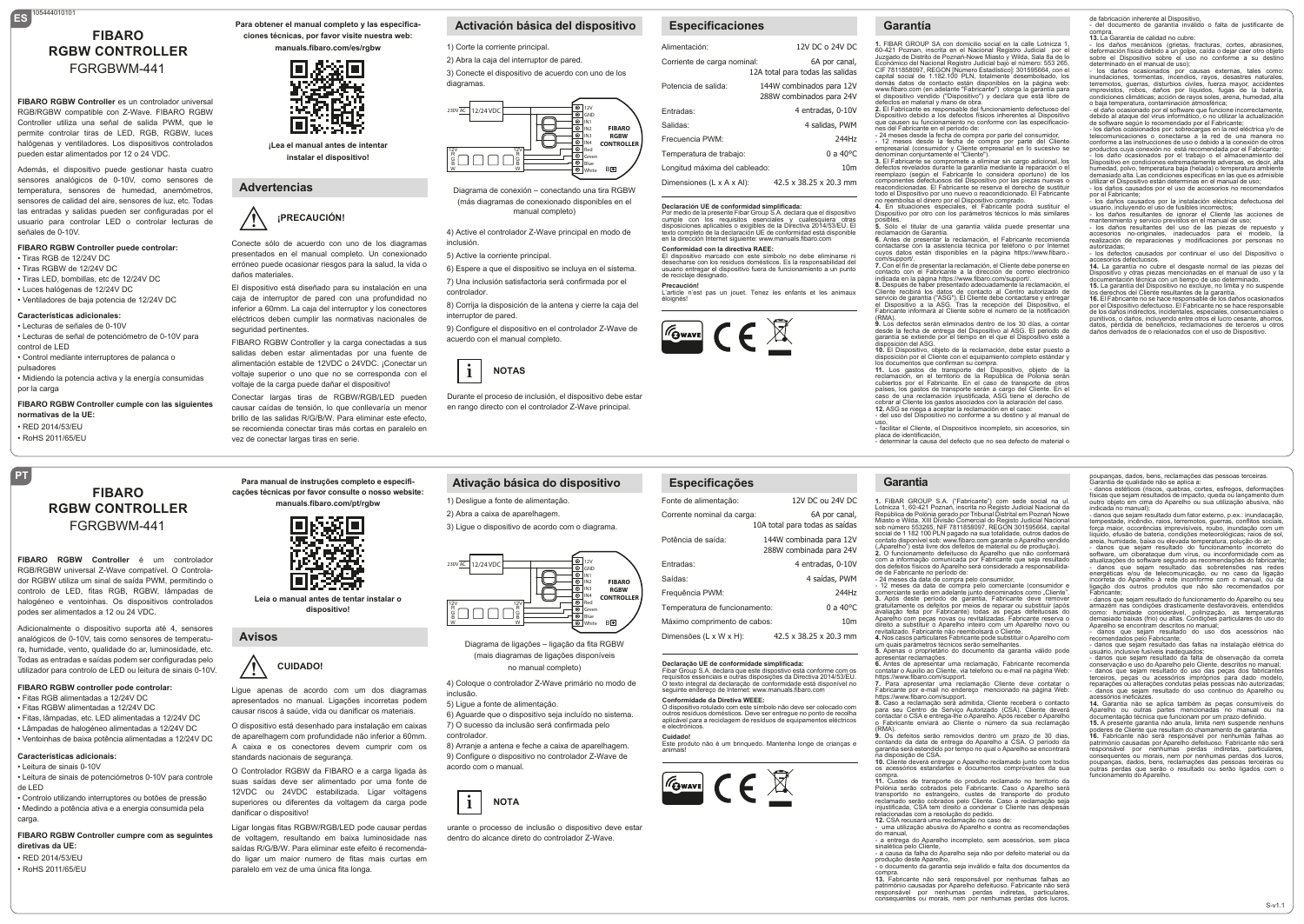# **ES** 105444010101 **FIBARO RGBW CONTROLLER** FGRGBWM-441

**FIBARO RGBW Controller** es un controlador universal RGB/RGBW compatible con Z-Wave. FIBARO RGBW Controller utiliza una señal de salida PWM, que le permite controlar tiras de LED, RGB, RGBW, luces halógenas y ventiladores. Los dispositivos controlados pueden estar alimentados por 12 o 24 VDC.

Además, el dispositivo puede gestionar hasta cuatro sensores analógicos de 0-10V, como sensores de temperatura, sensores de humedad, anemómetros, sensores de calidad del aire, sensores de luz, etc. Todas las entradas y salidas pueden ser configuradas por el usuario para controlar LED o controlar lecturas de señales de 0-10V.

#### **FIBARO RGBW Controller puede controlar:** • Tiras RGB de 12/24V DC

• Tiras RGBW de 12/24V DC • Tiras LED, bombillas, etc de 12/24V DC • Luces halógenas de 12/24V DC • Ventiladores de baja potencia de 12/24V DC

### **Características adicionales:**

**PT**

• Lecturas de señales de 0-10V • Lecturas de señal de potenciómetro de 0-10V para control de LED • Control mediante interruptores de palanca o

pulsadores • Midiendo la potencia activa y la energía consumidas

por la carga **FIBARO RGBW Controller cumple con las siguientes** 

**normativas de la UE:** • RED 2014/53/EU • RoHS 2011/65/EL

#### **Para obtener el manual completo y las especificaciones técnicas, por favor visite nuestra web:**

**manuals.fibaro.com/es/rgbw**



**¡Lea el manual antes de intentar instalar el dispositivo!**

## **Advertencias**

## **! ¡PRECAUCIÓN!**

 presentados en el manual completo. Un conexionado Conecte sólo de acuerdo con uno de los diagramas erróneo puede ocasionar riesgos para la salud, la vida o daños materiales.

El dispositivo está diseñado para su instalación en una caja de interruptor de pared con una profundidad no inferior a 60mm. La caja del interruptor y los conectores eléctricos deben cumplir las normativas nacionales de seguridad pertinentes.

FIBARO RGBW Controller y la carga conectadas a sus salidas deben estar alimentadas por una fuente de alimentación estable de 12VDC o 24VDC. ¡Conectar un voltaje superior o uno que no se corresponda con el voltaje de la carga puede dañar el dispositivo!

Conectar largas tiras de RGBW/RGB/LED pueden causar caídas de tensión, lo que conllevaría un menor brillo de las salidas R/G/B/W. Para eliminar este efecto, se recomienda conectar tiras más cortas en paralelo en vez de conectar largas tiras en serie.

# **Activación básica del dispositivo**

1) Corte la corriente principal.

2) Abra la caja del interruptor de pared. 3) Conecte el dispositivo de acuerdo con uno de los diagramas.



Diagrama de conexión – conectando una tira RGBW (más diagramas de conexionado disponibles en el manual completo)

4) Active el controlador Z-Wave principal en modo de inclusión.

5) Active la corriente principal.

6) Espere a que el dispositivo se incluya en el sistema. 7) Una inclusión satisfactoria será confirmada por el controlador.

8) Corrija la disposición de la antena y cierre la caja del interruptor de pared.

9) Configure el dispositivo en el controlador Z-Wave de acuerdo con el manual completo.



 en rango directo con el controlador Z-Wave principal. Durante el proceso de inclusión, el dispositivo debe estar

**Ativação básica do dispositivo**

4) Coloque o controlador Z-Wave primário no modo de

Diagrama de ligações – ligação da fita RGBW (mais diagramas de ligações disponíveis no manual completo)

 $\bigoplus$ 

6) Aguarde que o dispositivo seja incluído no sistema. 7) O sucesso da inclusão será confirmada pelo

8) Arranje a antena e feche a caixa de aparelhagem. 9) Configure o dispositivo no controlador Z-Wave de

 dentro do alcance direto do controlador Z-Wave.

urante o processo de inclusão o dispositivo deve estar

inclusão.

12V R G B

230V AC 12/24 VDC

 $\Box \Box \Box \Box$ 

controlador.

**i**

acordo com o manual.

5) Ligue a fonte de alimentação.

**NOTA**

1) Desligue a fonte de alimentação. 2) Abra a caixa de aparelhagem.

> 12V R G B

## **Especificaciones**

#### Alimentación: Corriente de carga nominal Potencia de salida: Entradas: Salidas: 12V DC o 24V DC 6A por canal, 12A total para todas las salidas 144W combinados para 12V 288W combinados para 24V 4 entradas, 0-10V 4 salidas, PWM

Frecuencia PWM: Temperatura de trabajo: Longitud máxima del cableado: Dimensiones (L x A x Al): 244Hz 0 a 40°C 10m 42.5 x 38.25 x 20.3 mm

# **Declaración UE de conformidad simplificada:** Por medio de la presente Fibar Group S.A. declara que el dispositivo

cumple con los requisitos esenciales y cualesquiera otras disposiciones aplicables o exigibles de la Directiva 2014/53/EU. El texto completo de la declaración UE de conformidad está disponible

en la dirección Internet siguiente: www.manuals.fibaro.com **Conformidad con la directiva RAEE:**

El dispositivo marcado con este símbolo no debe eliminarse ni desecharse con los residuos domésticos. Es la responsabilidad del usuario entregar el dispositivo fuera de funcionamiento a un punto

de reciclaje designado.

**Precaución!** L'article n'est pas un jouet. Tenez les enfants et les animaux éloignés!



**Especificações** Fonte de alimentação: Corrente nominal da carga:

Temperatura de funcionamento: Máximo comprimento de cabos: Dimensões (L x W x H):

**Conformidade da Diretiva WEEE:**

 $\boxed{\mathcal{F}_{\text{Gwave}}}\in \mathbb{R}$ 

**Declaração UE de conformidade simplificada:**<br>Fibar Group S.A. declara que este dispostivo está conforme com os<br>requisitos essenciais e outras disposições da Directiva 2014/53/EU.<br>O texto integral da declaração de conformi seguinte endereço de Internet: www.manuals.fibaro.com

O dispositivo rotulado com este símbolo não deve ser colocado com outros resíduos domésticos. Deve ser entregue no ponto de recolha aplicável para a reciclagem de resíduos de equipamentos eléctricos e electrónicos.

Este produto não é um brinquedo. Mantenha longe de crianças e animais!

Potência de saída:

Entradas: Saídas: Frequência PWM:

**Cuidado!**

**FIBARO RGBW CONTROLLE B** 

GND IN1 IN2 IN3 IN4 Red Green Blue White



# **Garantía**

**1.** FIBAR GROUP SA con domicilio social en la calle Lotnicza 1, 60-421 Poznan, inscrita en el Nacional Registro Judicial por el Juzgado de Distrito de Poznań-Nowe Miasto y Wilda, Sala 8a de lo<br>Económico del Nacional Registro Judicial bajo el número: 553 265,<br>CIF 7811858097, REGON [Número Estadístico]: 301595664, con el<br>capital social de 1.182.10 demás datos de contacto están disponibles en la página web: www.fibaro.com (en adelante "Fabricante") otorga la garantía para el dispositivo vendido ("Dispositivo") y declara que está libre de

defectos en material y mano de obra. **2.** El Fabricante es responsable del funcionamiento defectuoso del Dispositivo debido a los defectos físicos inherentes al Dispositivo que causen su funcionamiento no conforme con las especificacio-nes del Fabricante en el periodo de: - 24 meses desde la fecha de compra por parte del consumidor,

- 12 meses desde la fecha de compra por parte del Cliente empresarial (consumidor y Cliente empresarial en lo sucesivo se minan coniuntamente el "Cliente").

**3.** El Fabricante se compromete a eliminar sin cargo adicional, los defectos revelados durante la garantía mediante la reparación o el reemplazo (según el Fabricante lo considera oportuno) de los<br>componentes defectuosos del Dispositivo por las piezas nuevas o<br>reacondicionadas. El Fabricante se reserva el derecho de sustituir<br>todo el Dispositivo por uno nu

no reembolsa el dinero por el Dispositivo comprado. **4.** En situaciones especiales, el Fabricante podrá sustituir el Dispositivo por otro con los parámetros técnicos lo más similares

posibles. **5.** Sólo el titular de una garantía válida puede presentar una

reclamación de Garantía.<br>**6.** Antes de presentar la reclamación, el Fabricante recomienda<br>contactarse con la asistencia técnica por teléfono o por Internet<br>cuyos datos están disponibles en la página https://www.fibaro.-

com/support/. **7.** Con el fin de presentar la reclamación, el Cliente debe ponerse en contacto con el Fabricante a la dirección de correo electrónico

indicada en la página https://www.fibaro.com/support/. **8.** Después de haber presentado adecuadamente la reclamación, el<br>Cliente recibirá los datos de contacto al Centro autorizado de<br>servicio de garantía ("ASG"). El Cliente debe contactarse y entregar<br>el Dispositivo a la ASG. Fabricante informará al Cliente sobre el número de la notificación

(RMA). **9.** Los defectos serán eliminados dentro de los 30 días, a contar desde la fecha de entrega del Dispositivo al ASG. El periodo de garantía se extiende por el tiempo en el que el Dispositivo esté a disposición del ASG.

**10.** El Dispositivo, objeto de la reclamación, debe estar puesto a<br>disposición por el Cliente con el equipamiento completo estándar y<br>los documentos que confirman su compra.<br>**11.** Los gastos de transporte del Dispositivo,

reclamación, en el territorio de la República de Polonia serán cubiertos por el Fabricante. En el caso de transporte de otros

países, los gastos de transporte serán a cargo del Cliente. En el<br>caso de una reclamación injustificada, ASG tiene el derecho de<br>cobrar al Cliente los gastos asociados con la aclaración del caso.<br>12. ASG se niega a aceptar

uso, - facilitar el Cliente, el Dispositivos incompleto, sin accesorios, sin

placa de identificación, - determinar la causa del defecto que no sea defecto de material o

### **Garantia**

12V DC ou 24V DC 6A por canal,

10A total para todas as saídas 144W combinada para 12V 288W combinada para 24V 4 entradas, 0-10V 4 saídas, PWM 244Hz 0 a 40°C 10m

42.5 x 38.25 x 20.3 mm

1. FIBAR GROUP S.A. ("Fabricante") com sede social na ul.<br>Lotnicza 1, 60-421 Poznań, inscrita no Registo Judicial Nacional da<br>República de Polónia gerado por Tribunal Distrital em Poznań Nowe<br>Miasto e Wilda, XIII Divisão C social de 1 182 100 PLN pagado na sua totalidade, outros dados de contato disponível sob: www.fibaro.com garante o Aparelho vendido ("Aparelho") está livre dos defeitos de material ou de produção).<br>2. O funcionamento defeituoso do Aparelho que não conformará<br>com a informação comunicada por Fabricante que seja resultado<br>dos defeitos físicos do Aparelho

de de Fabricante no período de:<br>- 24 meses da data de compra pelo consumidor,<br>- 12 meses da data de compra pelo comerciante (consumidor e - 12 meses da data de compra pelo comerciante (consumidor e consumidore comerciante serão em adelante junto denominados como "Cliente".<br>3. Após deste período de garantia, Fabricante deve remover gratultamente os defeitos p revitalizado. Fabricante não reembolsará o Cliente. **4.** Nos casos particulares Fabricante pode substituir o Aparelho com

um quais parámetros técnicos serão semelhantes.

**5.** Apenas o proprietário do documento da garantia válido pode apresentar reclamações.<br>6. Antes de apresentar uma reclamação, Fabricante recomenda<br>contatar o Auxilio ao Cliente, via telefono ou e-mail na página Web:<br>https://www.fibaro.com/support.<br>7. Para apresentar uma reclamação Cli

Fabricante por e-mail no endereço mencionado na página Web: https://www.fibaro.com/support. **8.** Caso a reclamação será admitida, Cliente receberá o contacto

para seu Centro de Serviço Autorizado (CSA). Cliente deverá contactar o CSA e entrega-lhe o Aparelho. Após receber o Aparelho o Fabricante enviará ao Cliente o número da sua reclamação (RMA). **9.** Os defeitos serão removidos dentro um prazo de 30 dias,

contando da data de entrega do Aparelho a CSA. O período da garantia será estendido por tempo no qual o Aparelho se encontrará na disposição de CSA.

**10.** Cliente deverá entregar o Aparelho reclamado junto com todos<br>os acessórios estandartes e documentos comprovantes da sua<br>compra. **11.** Custes de transporte do produto reclamado no territorio da

Polónia serão cobrados pelo Fabricante. Caso o Aparelho será transportdo no estrangeiro, custes de transporte do produto reclamado serão cobrados pelo Cliente. Caso a reclamação seja injustificada, CSA tem direito a condenar o Cliente nas despesas relacionadas com a resolução do pedido.

**12.** CSA recusará uma reclamação no caso de:<br>- uma utilização abusiva do Aparelho e contra as recomendações<br>do manual,

- a entrega do Aparelho incompleto, sem acessórios, sem placa sinalética pelo Cliente, - a causa da falha do Aparelho seja não por defeito material ou da

produção deste Aparelho, - o documento da garantia seja inválido e falta dos documentos da

compra.<br>
13 Eabricante não será responsável por nenhumas falhas ao

**13.** Fabricante não será responsável por nenhumas falhas ao<br>património causadas por Aparelho defeituoso. Fabricante não será<br>responsável por nenhumas perdas indiretas, particulares,<br>consequentes ou morais, nem por nenhuma

de fabricación inherente al Dispositivo, - del documento de garantía inválido o falta de justificante de

13. La Garantía de calidad no cubre:

13. La Garantia de calidad no cubre:<br>- los daños mecánicos (grietas, fracturas, cortes, abrasiones,<br>deformación física debido a un golpe, caída o dejar care rotro objeto<br>sobre el Dispositivo sobre el uso no conforme a su d

inundaciones, tormentas, incendios, rayos, desastres naturales, terremotos, guerras, disturbios civiles, fuerza mayor, accidentes imprevistos, robos, daños por líquidos, fugas de la batería, condiciones climáticas; acción de rayos soles, arena, humedad, alta<br>o baia temperatura, contaminación atmosférica:

o baja temperatura, contaminación atmosférica;<br>- el daño ocasionado por el software que funcione incorrectamente,<br>debido al ataque del virus informático, o no utilizar la actualización<br>de software según lo recomendado por

telecomunicaciones o conectarse a la red de una manera no conforme a las instrucciones de uso o debido a la conexión de otros productos cuya conexión no está recomendada por el Fabricante; - los daño ocasionados por el trabajo o el almacenamiento del Dispositivo en condiciones extremadamente adversas, es decir, alta<br>humedad, polvo, temperatura baja (helada) o temperatura ambiente<br>demasiado alta. Las condiciones específicas en las que es admisible<br>utilizar el Dispositiv

por el Fabricante; - los daños causados por la instalación eléctrica defectuosa del

usuario, incluyendo el uso de fusibles incorrectos;<br>- los daños resultantes de ignorar el Cliente las acciones de<br>mantenimiento y servicio previstos en el manual de uso;<br>- los daños resultantes del uso de las piezas de rep accesorios no-originales, inadecuados para el modelo, la realización de reparaciones y modificaciones por personas no

autorizadas; un.<br>- los defectos causados por continuar el uso del Dispositivo o<br>accesorios defectuosos.

accesorios defectuosos.<br>**14** La garantía no cubre el desgaste normal de las piezas del 14. La grannita no cubre el desgaste normal de las piezas del<br>Dispositivo y otras piezas mencionadas en el manual de uso y la<br>documentación técnica con un tiempo de uso determinado.<br>15. La garantia del Dispositivo no exclu

de los daños indirectos, incidentales, especiales, consecuenciales o punitivos, o daños, incluyendo entre otros el lucro cesante, ahorros, datos, pérdida de beneficios, reclamaciones de terceros u otros daños derivados de o relacionados con el uso de Dispositivo.

poupanças, dados, bens, reclamações das pessoas terceiras.<br>Garantia de qualidade não se aplica a:<br>- danos estéticos (riscos, quebras, cortes, esfregos, deformações<br>físicas que sejam resultados de impacto, queda ou lançamen indicada no manual); - danos que sejam resultado dum fator externo, p.ex.: inundacação, tempestade, incêndio, raios, terremotos, guerras, conflitos sociais, força maior, occorências imprevisíveis, roubo, inundação com um líquido, efusão de bateria, condições meteorológicas; raios de sol, areia, humidade, baixa ou elevada temperatura, polução do ar; - danos que sejam resultado do funcionamento incorreto do software, um ciberataque dum vírus, ou inconformidade com as atualizações do software segundo as recomendações do fabricante; - danos que sejam resultado das sobretensões nas redes energéticas e/ou de telecomunicação, ou no caso da ligação incorreta do Aparelho à rede inconforme com o manual, ou da ligação dos outros produtos que não são recomendados por Fabricante; - danos que sejam resultado do funcionamento do Aparelho ou seu armazém nas condições drasticamente desfavoráveis, entendidos como: humidade considerável, polinização, as temperaturas demasiado baixas (frio) ou altas. Condições particulares do uso do Aparelho se encontram descritos no manual; - danos que sejam resultado do uso dos acessórios não

- danos que sejam resultado das faltas na instalação elétrica do usuário, inclusive fusíveis inadequados;<br>- danos que sejam resultado da falta de observação da correta<br>conservação e uso do Aparelho pelo Cliente, descritos no manual;<br>- danos que sejam resultado do uso das peças dos fabri reparações ou alterações condutas pelas pessoas não autorizadas; - danos que sejam resultado do uso continuo do Aparelho ou

**14.** Garantia não se aplica também às peças consumíveis do Aparelho ou outras partes mencionadas no manual ou na documentação técnica que funcionam por um prazo definido. **15.** A presente garantia não anula, limita nem suspende nenhuns poderes de Cliente que resultam do chamamento de garantia. **16.** Fabricante não será responsável por nenhumas falhas ao património causadas por Aparelho defeituoso. Fabricante não será responsável por nenhumas perdas indiretas, particulares, consequentes ou morais, nem por nenhumas perdas dos lucros, poupanças, dados, bens, reclamações das pessoas terceiras ou outras perdas que serão o resultado ou serão ligados com o

S-v1.1

recomendados pelo Fabricante;

acessórios ineficazes.

funcionamento do Aparelho.

**RGBW CONTROLLER** FGRGBWM-441 **FIBARO RGBW Controller** é um controlador

**FIBARO**

RGB/RGBW universal Z-Wave compatível. O Controlador RGBW utiliza um sinal de saída PWM, permitindo o controlo de LED, fitas RGB, RGBW, lâmpadas de halogéneo e ventoinhas. Os dispositivos controlados podes ser alimentados a 12 ou 24 VDC.

Adicionalmente o dispositivo suporta até 4, sensores analógicos de 0-10V, tais como sensores de temperatura, humidade, vento, qualidade do ar, luminosidade, etc. Todas as entradas e saídas podem ser configuradas pelo utilizador para controlo de LED ou leitura de sinais 0-10V.

#### **FIBARO RGBW controller pode controlar:**

• Fitas RGB alimentadas a 12/24V DC • Fitas RGBW alimentadas a 12/24V DC • Fitas, lâmpadas, etc. LED alimentadas a 12/24V DC • Lâmpadas de halogéneo alimentadas a 12/24V DC • Ventoinhas de baixa potência alimentadas a 12/24V DC

#### **Características adicionais:** • Leitura de sinais 0-10V

• Leitura de sinais de potenciómetros 0-10V para controle de LED

• Controlo utilizando interruptores ou botões de pressão • Medindo a potência ativa e a energia consumida pela carga.

#### **FIBARO RGBW Controller cumpre com as seguintes diretivas da UE:** • RED 2014/53/EU

• RoHS 2011/65/EU

3) Ligue o dispositivo de acordo com o diagrama.

**Leia o manual antes de tentar instalar o dispositivo!**

 apresentados no manual. Ligações incorretas podem

Ligue apenas de acordo com um dos diagramas causar riscos à saúde, vida ou danificar os materiais. O dispositivo está desenhado para instalação em caixas de aparelhagem com profundidade não inferior a 60mm. A caixa e os conectores devem cumprir com os

O Controlador RGBW da FIBARO e a carga ligada às suas saídas deve ser alimentado por uma fonte de 12VDC ou 24VDC estabilizada. Ligar voltagens superiores ou diferentes da voltagem da carga pode

Ligar longas fitas RGBW/RGB/LED pode causar perdas de voltagem, resultando em baixa luminosidade nas saídas R/G/B/W. Para eliminar este efeito é recomendado ligar um maior numero de fitas mais curtas em

**CUIDADO!** 

n

standards nacionais de segurança.

paralelo em vez de uma única fita longa.

danificar o dispositivo!

**Para manual de instruções completo e especificações técnicas por favor consulte o nosso website: manuals.fibaro.com/pt/rgbw**

**Avisos**

**!**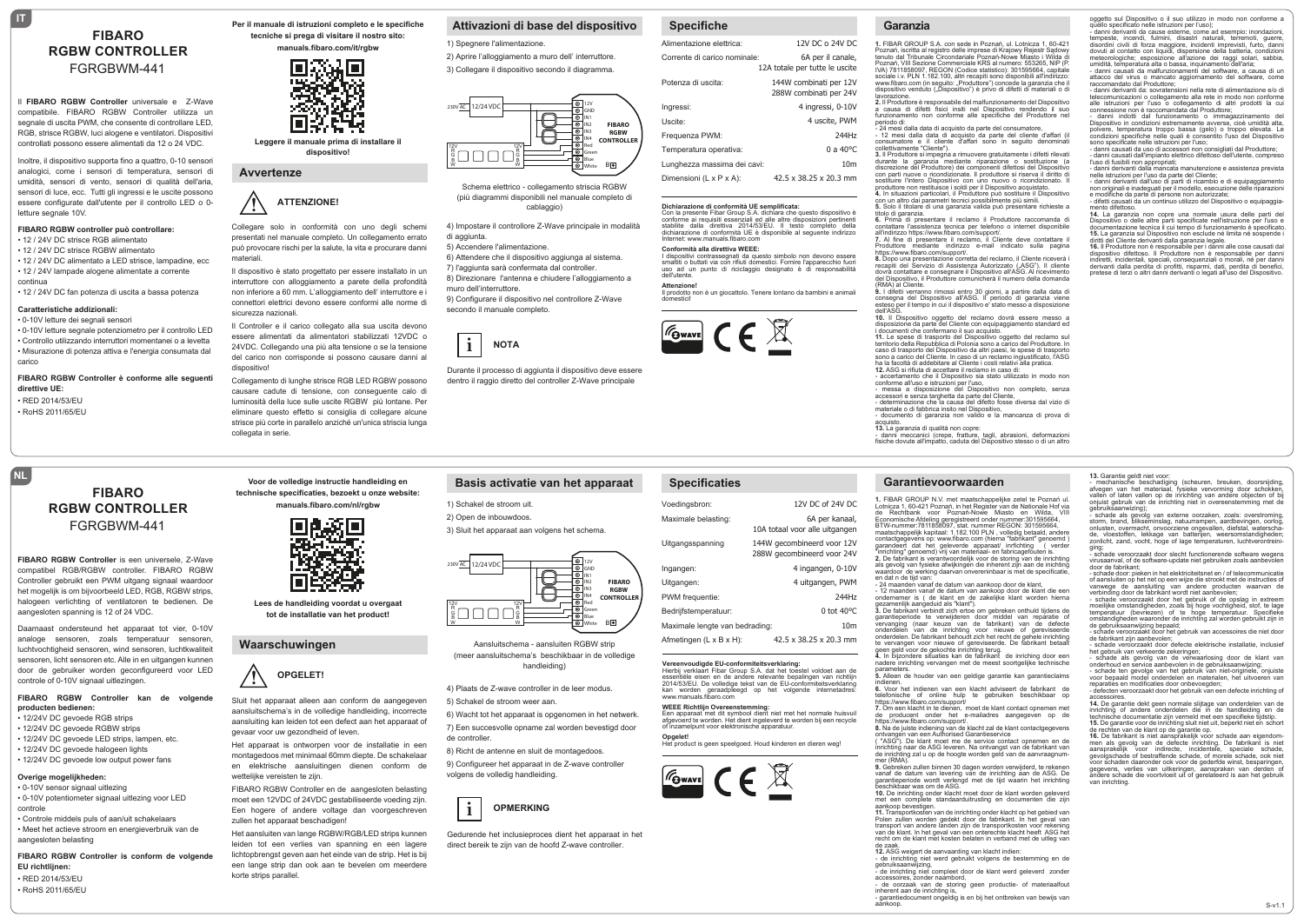# **FIBARO RGBW CONTROLLER** FGRGBWM-441

Il **FIBARO RGBW Controller** universale e Z-Wave compatibile. FIBARO RGBW Controller utilizza un segnale di uscita PWM, che consente di controllare LED, RGB, strisce RGBW, luci alogene e ventilatori. Dispositivi controllati possono essere alimentati da 12 o 24 VDC.

Inoltre, il dispositivo supporta fino a quattro, 0-10 sensori analogici, come i sensori di temperatura, sensori di umidità, sensori di vento, sensori di qualità dell'aria, sensori di luce, ecc. Tutti gli ingressi e le uscite possono essere configurate dall'utente per il controllo LED o 0 letture segnale 10V.

# **FIBARO RGBW controller può controllare:**

• 12 / 24V DC strisce RGB alimentato • 12 / 24V DC strisce RGBW alimentato

• 12 / 24V DC alimentato a LED strisce, lampadine, ecc • 12 / 24V lampade alogene alimentate a corrente

continua • 12 / 24V DC fan potenza di uscita a bassa potenza

#### **Caratteristiche addizionali:** • 0-10V letture dei segnali sensori

• 0-10V letture segnale potenziometro per il controllo LED • Controllo utilizzando interruttori momentanei o a levetta • Misurazione di potenza attiva e l'energia consumata dal carico

#### **FIBARO RGBW Controller è conforme alle seguenti direttive UE:** • RED 2014/53/EU

• RoHS 2011/65/EU

**NL**

**IT**

# **FIBARO RGBW CONTROLLER**

**FIBARO RGBW Controller** is een universele, Z-Wave compatibel RGB/RGBW controller. FIBARO RGBW Controller gebruikt een PWM uitgang signaal waardoor het mogelijk is om bijvoorbeeld LED, RGB, RGBW strips, halogeen verlichting of ventilatoren te bedienen. De aangesloten spanning is 12 of 24 VDC.

FGRGBWM-441

Daarnaast ondersteund het apparaat tot vier, 0-10V analoge sensoren, zoals temperatuur sensoren, luchtvochtigheid sensoren, wind sensoren, luchtkwaliteit sensoren, licht sensoren etc. Alle in en uitgangen kunnen door de gebruiker worden geconfigureerd voor LED controle of 0-10V signaal uitlezingen.

#### **FIBARO RGBW Controller kan de volgende producten bedienen:**

- 12/24V DC gevoede RGB strips
- 12/24V DC gevoede RGBW strips
- 12/24V DC gevoede LED strips, lampen, etc.
- 12/24V DC gevoede halogeen lights
- 12/24V DC gevoede low output power fans

## **Overige mogelijkheden:**

• 0-10V sensor signaal uitlezing • 0-10V potentiometer signaal uitlezing voor LED controle

• Controle middels puls of aan/uit schakelaars • Meet het actieve stroom en energieverbruik van de aangesloten belasting

**FIBARO RGBW Controller is conform de volgende EU richtlijnen:** • RED 2014/53/EU

• RoHS 2011/65/EU

**Per il manuale di istruzioni completo e le specifiche tecniche si prega di visitare il nostro sito:**

**manuals.fibaro.com/it/rgbw**



**Leggere il manuale prima di installare il dispositivo!**

## **Avvertenze**

# **! ATTENZIONE!**

 presentati nel manuale completo. Un collegamento errato Collegare solo in conformità con uno degli schemi può provocare rischi per la salute, la vita e procurare danni materiali.

Il dispositivo è stato progettato per essere installato in un interruttore con alloggiamento a parete della profondità non inferiore a 60 mm. L'alloggiamento dell' interruttore e i connettori elettrici devono essere conformi alle norme di sicurezza nazionali

Il Controller e il carico collegato alla sua uscita devono essere alimentati da alimentatori stabilizzati 12VDC o 24VDC. Collegando una più alta tensione o se la tensione del carico non corrisponde si possono causare danni al dispositivo!

Collegamento di lunghe strisce RGB LED RGBW possono causare cadute di tensione, con conseguente calo di luminosità della luce sulle uscite RGBW più lontane. Per eliminare questo effetto si consiglia di collegare alcune strisce più corte in parallelo anziché un'unica striscia lunga collegata in serie.

**Voor de volledige instructie handleiding en technische specificaties, bezoekt u onze website: manuals.fibaro.com/nl/rgbw**

**Lees de handleiding voordat u overgaat tot de installatie van het product!**

 aansluitschema's in de volledige handleiding, incorrecte

Het apparaat is ontworpen voor de installatie in een montagedoos met minimaal 60mm diepte. De schakelaar en elektrische aansluitingen dienen conform de

FIBARO RGBW Controller en de aangesloten belasting moet een 12VDC of 24VDC gestabiliseerde voeding zijn. Een hogere of andere voltage dan voorgeschreven

Het aansluiten van lange RGBW/RGB/LED strips kunnen leiden tot een verlies van spanning en een lagere lichtopbrengst geven aan het einde van de strip. Het is bij een lange strip dan ook aan te bevelen om meerdere

Sluit het apparaat alleen aan conform de aangegeven aansluiting kan leiden tot een defect aan het apparaat of

**OPGELET!**

IN

IП

**Waarschuwingen**

gevaar voor uw gezondheid of leven.

wettelijke vereisten te zijn.

korte strips parallel.

zullen het apparaat beschadigen!

**!**

# **Attivazioni di base del dispositivo**

1) Spegnere l'alimentazione.

2) Aprire l'alloggiamento a muro dell' interruttore. 3) Collegare il dispositivo secondo il diagramma.



Schema elettrico - collegamento striscia RGBW (più diagrammi disponibili nel manuale completo di cablaggio)

4) Impostare il controllore Z-Wave principale in modalità

di aggiunta.

5) Accendere l'alimentazione.

6) Attendere che il dispositivo aggiunga al sistema. 7) l'aggiunta sarà confermata dal controller. 8) Direzionare l'antenna e chiudere l'alloggiamento a muro dell'interruttore. 9) Configurare il dispositivo nel controllore Z-Wave

secondo il manuale completo.



1) Schakel de stroom uit. 2) Open de inbouwdoos.

230V AC 12/24 VDC

 $\Box \Box \Box \Box$ 

12V R G B

 dentro il raggio diretto del controller Z-Wave principale Durante il processo di aggiunta il dispositivo deve essere

**Basis activatie van het apparaat**

3) Sluit het apparaat aan volgens het schema.

12V R G B

## **Specifiche**

| <b>UNUVIIIVIIV</b>                   |                                                     |
|--------------------------------------|-----------------------------------------------------|
| Alimentazione elettrica:             | 12V DC o 24V DC                                     |
| Corrente di carico nominale:         | 6A per il canale.<br>12A totale per tutte le uscite |
| Potenza di uscita:                   | 144W combinati per 12V<br>288W combinati per 24V    |
| Ingressi:                            | 4 ingressi, 0-10V                                   |
| Uscite:                              | 4 uscite, PWM                                       |
| Frequenza PWM:                       | 244Hz                                               |
| Temperatura operativa:               | $0a40^{\circ}$ C                                    |
| Lunghezza massima dei cavi:          | 10 <sub>m</sub>                                     |
| Dimensioni $(L \times P \times A)$ : | 42.5 x 38.25 x 20.3 mm                              |

# **Dichiarazione di conformità UE semplificata:** Con la presente Fibar Group S.A. dichiara che questo dispositivo è

conforme ai requisiti essenziali ed alle altre disposizioni pertinenti stabilite dalla direttiva 2014/53/EU. Il testo completo della dichiarazione di conformità UE è disponibile al seguente indirizzo Internet: www.manuals.fibaro.com

# **Conformità alla direttiva WEEE:**

I dispositivi contrassegnati da questo simbolo non devono essere smaltiti o buttati via con rifiuti domestici. Fornire l'apparecchio fuori uso ad un punto di riciclaggio designato è di responsabilità dell'utente.

**Attenzione!** Il prodotto non è un giocattolo. Tenere lontano da bambini e animali

domestici!



**Specificaties**

| Voedingsbron:                        | 12V DC of 24V DC                                         |
|--------------------------------------|----------------------------------------------------------|
| Maximale belasting:                  | 6A per kanaal,<br>10A totaal voor alle uitgangen         |
| Uitgangsspanning                     | 144W gecombineerd voor 12V<br>288W gecombineerd voor 24V |
| Ingangen:                            | 4 ingangen, 0-10V                                        |
| Uitgangen:                           | 4 uitgangen, PWM                                         |
| PWM frequentie:                      | 244Hz                                                    |
| Bedrijfstemperatuur:                 | $0$ tot 40 $^{\circ}$ C                                  |
| Maximale lengte van bedrading:       | 10 <sub>m</sub>                                          |
| Afmetingen $(L \times B \times H)$ : | 42.5 x 38.25 x 20.3 mm                                   |

**Vereenvoudigde EU-conformiteitsverklaring:**<br>Hierbij verklaart Fibar Group S.A. dat het toestel voldoet aan de

**FOWAVE** CF

**WEEE Richtlijn Overeenstemming:**<br>Een apparaat met dit symbool dient niet met het normale huisvuil<br>afgevoerd te worden. Het dient ingeleverd te worden bij een recycle<br>of inzamelpunt voor elektronische apparatuur. **Opgelet!**<br>Het product is geen speelgoed. Houd kinderen en dieren weg!

4) Plaats de Z-wave controller in de leer modus. essentiële eisen en de andere relevante bepalingen van richtlijn<br>2014/53/EU. De volledige tekst van de EU-conformiteitsverklaring<br>kan worden geraadpleegd op het volgende internetadres:

www.manuals.fibaro.com

**FIBARO RGBW CONTROLLE** 

B

GND IN1 IN2 IN3 IN4 Red Green Blue White

5) Schakel de stroom weer aan.

6) Wacht tot het apparaat is opgenomen in het netwerk. 7) Een succesvolle opname zal worden bevestigd door de controller.

Aansluitschema - aansluiten RGBW strip (meer aansluitschema's beschikbaar in de volledige handleiding)

 $\bigoplus$ 

8) Richt de antenne en sluit de montagedoos.

9) Configureer het apparaat in de Z-wave controller volgens de volledig handleiding.



 direct bereik te zijn van de hoofd Z-wave controller. Gedurende het inclusieproces dient het apparaat in het

## **Garanzia**

**1.** FIBAR GROUP S.A. con sede in Poznań, ul. Lotnicza 1, 60-421 Poznań, iscritta al registro delle imprese di Krajowy Rejestr Sądowy tenuto dal Tribunale Circondariale Poznań-Nowe Miasto i Wilda di Poznań, VIII Sezione Commerciale KRS al numero: 553265, NIP (P.<br>IVA) 7811858097, REGON (Codice statistico): 301595664, capitale<br>sociale i.v. PLN 1.182.100, altri recapiti sono disponibili all'indirizzo:<br>www.fibaro.com (in lavorazione. **2.** Il Produttore è responsabile del malfunzionamento del Dispositivo oggetto sul Dispositivo o il suo utilizzo in modo non conforme a quello specificato nelle istruzioni per l'uso);

- danni derivanti da cause esterne, come ad esempic innordazioni,<br>tempeste, incendi, fulmini, disastri naturali, terremoti, querre,<br>disordini civili di forza maggiore, incidenti imprevisti, furto, danni<br>dovuti al contatto

attacco del virus o mancato aggiornamento del software, come raccomandato dal Produttore; - danni derivanti da: sovratensioni nella rete di alimentazione e/o di telecomunicazioni o collegamento alla rete in modo non conforme alle istruzioni per l'uso o collegamento di altri prodotti la cui connessione non è raccomandata dal Produttore;<br>- danni indotti dal funzionamento o immagazzinamento del<br>Dispositivo in condizioni estremamente avverse, cioè umidità alta,<br>polvere, temperatura troppo bassa (gelo) o troppo e condizioni specifiche nelle quali è consentito l'uso del Dispositivo sono specificate nelle istruzioni per l'uso; - danni causati da uso di accessori non consigliati dal Produttore;<br>- danni causati dall'impianto elettrico difettoso dell'utente, compreso<br>l'uso di fusibili non appropriati; - danni derivanti dalla mancata manutenzione e assistenza prevista<br>nelle istruzioni per l'uso da parte del Cliente;<br>- danni derivanti dall'uso di parti di ricambio e di equipaggiamento<br>non originali e inadeguati per il mod e modifiche da parte di persone non autorizzate;<br>- difetti causati da un continuo utilizzo del Dispositivo o equipaggia-<br>mento difettoso. **14.** La garanzia non copre una normale usura delle parti del Dispositivo o delle altre parti specificate nell'istruzione per l'uso e<br>documentazione tecnica il cui tempo di funzionamento è specificato.<br>15. La garanzia sul Dispositivo non esclude ne limita né sospende i<br>diritti del Cl dispositivo difettoso. Il Produttore non è responsabile per danni indiretti, incidentali, speciali, consequenziali o morali, né per danni derivanti dalla perdita di profitti, risparmi, dati, perdita di benefici, pretese di terzi o altri danni derivanti o legati all'uso del Dispositivo.

**13.** Garantie geldt niet voor:

accessoires.

van inrichting.

- mechanische beschadiging (scheuren, breuken, doorsnijding,<br>afvegen van het materiaal, fysieke vervorming door schokken,<br>vallen of laten vallen op de inrichting van andere objecten of bij<br>onjuist gebruik van de inrichting gebruiksaanwizing); - schade als gevolg van externe oorzaken, zoals: overstroming, storm, brand, blikseminslag, natuurrampen, aardbevingen, oorlog,<br>onlusten, overmacht, onvoorziene ongevallen, diefstal, waterscha-<br>de, vloestoffen, lekkage van batterijen, weersomstandigheden; zonlicht, zand, vocht, hoge of lage temperaturen, luchtverontreini- ging; ging;<br>- schade veroorzaakt door slecht functionerende software wegens virusaanval, of de software-update niet gebruiken zoals aanbevolen door de fabrikant; - schade door: pieken in het elektriciteitsnet en / of telecommunicatie of aansluiten op het net op een wijze die strookt met de instructies of vanwege de aansluiting van andere producten waarvan de<br>vanwege de aansluiting van andere producten waarvan de<br>verbinding door de fabrikant wordt niet aanbevolen: verbinding door de fabrikant wordt niet aanbevolen;<br>- schade veroorzaakt door het gebruik of de opslag in extreem<br>moeilijke omstandigheden, zoals bij hoge vochtigheid, stof, te lage<br>temperatuur (bevriezen) of te hoge tempe de gebruiksaanwijzing bepaald; - schade veroorzaakt door het gebruik van accessoires die niet door

de fabrikant zijn aanbevolen;<br>e-schade veroorzaakt door defecte elektrische installatie, inclusief<br>het gebruik van verkeerde zekeringen;<br>- schade als gevolg van de verwaarlosing door de klant van<br>onderhoud en service aanbe

reparaties en modificaties door onbevoegden; - defecten veroorzaakt door het gebruik van een defecte inrichting of

**14.** De garantie dekt geen normale slijtage van onderdelen van de inrichting of andere onderdelen die in de handleiding en de technische documentatie zijn vermeld met een specifieke tijdstip. **15.** De garantie voor de inrichting sluit niet uit, beperkt niet en schort n van de klant op de garantie op. **16.** De fabrikant is niet aansprakelijk voor schade aan eigendommen als gevolg van de defecte inrichting. De fabrikant is niet aansprakelijk voor indirecte, incidentele, speciale schade, gevolgschade of bestraffende schade, of morele schade, ook niet voor schaden daaronder ook voor de gederfde winst, besparingen, gegevens, verlies van uitkeringen, aanspraken van derden of andere schade die voortvloeit uit of gerelateerd is aan het gebruik

S-v1.1

a causa di difetti fisici insiti nel Dispositivo rendendo il suo funzionamento non conforme alle specifiche del Produttore nel

periodo di:<br>- 24 mesi dalla data di acquisto da parte del consumatore,<br>- 12 mesi dalla data di acquisto da parte del cliente d'affari (il<br>collettivamente "Cliente").<br>collettivamente "Cliente").

**3.** Il Produttore si impegna a rimuovere gratuitamente i difetti rilevati durante la garanzia mediante riparazione o sostituzione (a discrezione del Produttore) dei componenti difettosi del Dispositivo con parti nuove o ricondizionate. Il produttore si riserva il diritto di

sostituire l'intero Dispositivo con uno nuovo o ricondizionato. Il<br>produttore non restituisce i soldi per il Dispositivo acquistato.<br>4. In situazioni particolari, il Produttore può sostituire il Dispositivo<br>con un altro da

titolo di garanzia. **6.** Prima di presentare il reclamo il Produttore raccomanda di contattare l'assistenza tecnica per telefono o internet disponibile

all'indirizzo https://www.fibaro.com/support/.

7. Al fine di presentare il reclamo, il Cliente deve contattare il reclamo produttore mediante indirizzo e-mail indicato sulla pagina<br>https://www.fibaro.com/support/.<br>8. Dopo una presentazione corretta del reclamo, il Clie

(RMA) al Cliente.<br>9. I difetti verranno rimossi entro 30 giorni, a partire dalla data di<br>consegna del Dispositivo all'ASG. ll periodo di garanzia viene<br>esteso per il tempo in cui il dispositivo e' stato messo a dispo

dell'ASG.<br>**10.** Il Dispositivo oggetto del reclamo dovrà essere messo a<br>disposizione da parte del Cliente con equipaggiamento standard ed i documenti che confermano il suo acquisto.

**11.** Le spese di trasporto del Dispositivo oggetto del reclamo sul territorio della Repubblica di Polonia sono a carico del Produttore. In<br>caso di trasporto del Dispositivo da altri paesi, le spese di trasporto<br>sono a carico del Cliente. In caso di un reclamo ingiustificato, l'ASG<br>ha la f

**12.** ASG si rifiuta di accettare il reclamo in caso di:<br>- accertamento che il Dispositivo sia stato utilizzato in modo non<br>conforme all'uso e istruzioni per l'uso,

oniorme all'uso e istruzioni per ruso,<br>- messa -a disposizione, del Dispositivo, non completo, senza

accessori e senza targhetta da parte del Cliente, - determinazione che la causa del difetto fosse diversa dal vizio di materiale o di fabbrica insito nel Dispositivo, - documento di garanzia non valido e la mancanza di prova di

acquisto. **13.** La garanzia di qualità non copre:

- danni meccanici (crepe, fratture, tagli, abrasioni, deformazioni fisiche dovute all'impatto, caduta del Dispositivo stesso o di un altro

#### **Garantievoorwaarden**

1. FIBAR GROUP N.V. met maatschappelijke zetel te Poznań ul.<br>Lotnicza 1, 60-421 Poznań, in het Register van de Nationale Hof via<br>de Rechtbank voor Poznań-Nowe Miasto en Wilda, VIII<br>Economische Afdeling geregistreerd onder

garandeert dat het geleverde apparaat/ inrfichting ( verder "inrichting" genoemd) vrij van materiaal- en fabricagefouten is. **2.** De fabrikant is verantwoordelijk voor de storing van de inrichting

als gevolg van fysieke afwijkingen die inherent zijn aan de inichting waardoor de werking daarvan onvereninbaar is met de specificatie, en dat n de tijd van:<br>- 24 maanden vanaf de datum van aankoop door de klant,<br>- 12 maanden vanaf de datum van aankoop door de klant die een<br>ondernemer is ( de klant en de zakelijke klant worden hierna

gezamenlijk aangeduid als "klant").<br>3. De fabrikant verbindt zich ertoe om gebreken onthuld tijdens de

3. De fabrikant verbindt zich ertoe om gebreken onthuld tijdens de<br>garantieperiode te verwijderen door middel van reparatie of<br>ordranging (naar keuze van de fabrikant) van de defecte<br>onderdelen van de inrichting voor nieuw

nadere inrichting vervangen met de meest soortgelijke technische

parameters. **5.** Alleen de houder van een geldige garantie kan garantieclaims indienen. **6.** Voor het indienen van een klacht adviseert de fabrikant de

toor het indichen van een klaant aaviseen de labintant de elefonische of online hulp te gebruiken beschikbaar op

https://www.fibaro.com/support/<br>**7.** Om een klacht in te dienen, moet de klant contact opnemen met<br>de producent onder het e-mailadres aangegeven op de https://www.fibaro.com/support/. **8.** Na de juiste indiening van de klacht zal de klant contactgegevens

juiste intuening van de Klaurit zarde Kl<br>'n van een Authorised Garantieservice

( "ASG"). De klant moet me de service contact opnemen en de inrichting naar de ASG leveren. Na ontvangst van de fabrikant van de inrichting zal u op de hoogte worden geld van de aanvraagnum-<br>mer (RMA).<br>**9.** Gebreken zullen binnen 30 dagen worden verwijderd, te rekenen

vanaf de datum van levering van de inrichting aan de ASG. De garantieperiode wordt verlengd met de tijd waarin het inrichting beschikbaar was om de ASG.

**10.** De inrichting onder klacht moet door de klant worden geleverd met een complete standaarduitrusting en documenten die zijn aankoop bevestigen.<br>11. Transportkosten van de inrichting onder klacht op het gebied van<br>Polen zullen worden gedekt door de fabrikant. In het geval van<br>transport van andere landen zijn de transportkosten voor rekening<br>van

recht om de klant met kosten belaten in verband met de uitleg van de zaak. **12.** ASG weigert de aanvaarding van klacht indien: - de inrichting niet werd gebruikt volgens de bestemming en de

gebruiksaanwijzing, - de inrichting niet compleet door de klant werd geleverd zonder

de oorzaak van de storing geen productie- of materiaalfout

- garantiedocument ongeldig is en bij het ontbreken van bewijs van aankoop.

accessoires, zonder naambord,

inherent aan de inrichting is,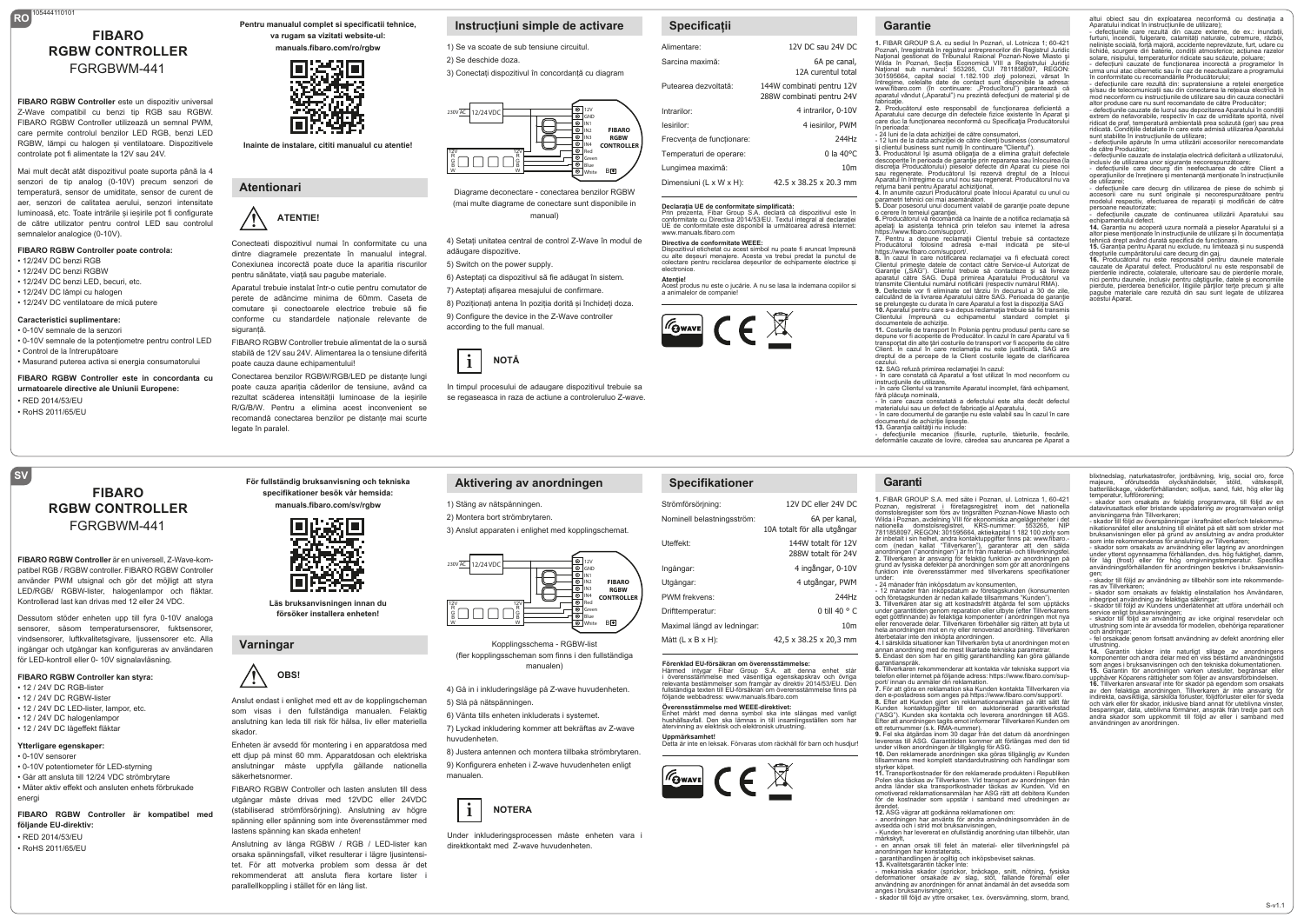# **RO** 105444110101 **FIBARO RGBW CONTROLLER** FGRGBWM-441

**FIBARO RGBW Controller** este un dispozitiv universal Z-Wave compatibil cu benzi tip RGB sau RGBW. FIBARO RGBW Controller utilizează un semnal PWM, care permite controlul benzilor LED RGB, benzi LED RGBW, lămpi cu halogen și ventilatoare. Dispozitivele controlate pot fi alimentate la 12V sau 24V.

Mai mult decât atât dispozitivul poate suporta până la 4 senzori de tip analog (0-10V) precum senzori de temperatură, sensor de umiditate, sensor de curent de aer, senzori de calitatea aerului, senzori intensitate luminoasă, etc. Toate intrările și ieșirile pot fi configurate de către utilizator pentru control LED sau controlul semnalelor analogice (0-10V).

#### **FIBARO RGBW Controller poate controla:** • 12/24V DC benzi RGB

- 12/24V DC benzi RGBW
- 12/24V DC benzi LED, becuri, etc.
- 12/24V DC lămpi cu halogen
- 12/24V DC ventilatoare de mică putere

#### **Caracteristici suplimentare:**

• 0-10V semnale de la senzori • 0-10V semnale de la potențiometre pentru control LED • Control de la întrerupătoare • Masurand puterea activa si energia consumatorului

**FIBARO RGBW Controller este in concordanta cu urmatoarele directive ale Uniunii Europene:** • RED 2014/53/EU

> **FIBARO RGBW CONTROLLER** FGRGBWM-441

**FIBARO RGBW Controller** är en universell, Z-Wave-kompatibel RGB / RGBW controller. FIBARO RGBW Controller använder PWM utsignal och gör det möjligt att styra LED/RGB/ RGBW-lister, halogenlampor och fläktar. Kontrollerad last kan drivas med 12 eller 24 VDC. Dessutom stöder enheten upp till fyra 0-10V analoga sensorer, såsom temperatursensorer, fuktsensorer, vindsensorer, luftkvalitetsgivare, liussensorer etc. Alla ingångar och utgångar kan konfigureras av användaren för LED-kontroll eller 0- 10V signalavläsning. **FIBARO RGBW Controller kan styra:** • 12 / 24V DC RGB-lister • 12 / 24V DC RCBW lister • 12 / 24V DC LED-lister, lampor, etc. • 12 / 24V DC halogenlampor • 12 / 24V DC lågeffekt fläktar **Ytterligare egenskaper:** • 0-10V sensorer

• 0-10V potentiometer för LED-styrning • Går att ansluta till 12/24 VDC strömbrytare • Mäter aktiv effekt och ansluten enhets förbrukade

**FIBARO RGBW Controller är kompatibel med** 

energi

**följande EU-direktiv:** • RED 2014/53/EU • RoHS 2011/65/EU

• RoHS 2011/65/EU

**SV**

**Pentru manualul complet si specificatii tehnice, va rugam sa vizitati website-ul: manuals.fibaro.com/ro/rgbw**



**Inainte de instalare, cititi manualul cu atentie!**

## **Atentionari**

## **! ATENTIE!**

 dintre diagramele prezentate în manualul integral. Conecteati dispozitivul numai în conformitate cu una Conexiunea incorectă poate duce la aparitia riscurilor pentru sănătate, viață sau pagube materiale.

Aparatul trebuie instalat într-o cutie pentru comutator de perete de adâncime minima de 60mm. Caseta de comutare și conectoarele electrice trebuie să fie conforme cu standardele naționale relevante de siguranță

FIBARO RGBW Controller trebuie alimentat de la o sursă stabilă de 12V sau 24V. Alimentarea la o tensiune diferită poate cauza daune echipamentului! Conectarea benzilor RGBW/RGB/LED pe distanțe lungi poate cauza apariția căderilor de tensiune, având ca rezultat scăderea intensității luminoase de la ieșirile R/G/B/W. Pentru a elimina acest inconvenient se

recomandă conectarea benzilor pe distanțe mai scurte

# **Instrucțiuni simple de activare**

1) Se va scoate de sub tensiune circuitul. 2) Se deschide doza.

3) Conectați dispozitivul în concordanță cu diagram



Diagrame deconectare - conectarea benzilor RGBW (mai multe diagrame de conectare sunt disponibile in manual)

4) Setați unitatea central de control Z-Wave în modul de adăugare dispozitive

5) Switch on the power supply.

- 6) Asteptați ca dispozitivul să fie adăugat în sistem.
- 7) Asteptați afișarea mesajului de confirmare.
- 8) Poziționați antena în poziția dorită și închideți doza. 9) Configure the device in the Z-Wave controller according to the full manual.



 se regaseasca in raza de actiune a controleruluo Z-wave. In timpul procesului de adaugare dispozitivul trebuie sa

**Aktivering av anordningen**

4) Gå in i inkluderingsläge på Z-wave huvudenheten.

Kopplingsschema - RGBW-list (fler kopplingsscheman som finns i den fullständiga manualen)

 $\bigoplus$ 

8) Justera antennen och montera tillbaka strömbrytaren. 9) Konfigurera enheten i Z-wave huvudenheten enligt

Under inkluderingsprocessen måste enheten vara i

6) Vänta tills enheten inkluderats i systemet. 7) Lyckad inkludering kommer att bekräftas av Z-wave

12V R G B

 direktkontakt med Z-wave huvudenheten.

**NOTERA**

5) Slå på nätspänningen.

 $\Box \Box \Box \Box$ 

huvudenheten.

230V AC 12/24 VDC

12V R G B

manualen.

**i**

# **Specificații**

| Alimentare:               | 12V DC sau 24V DC                                      |
|---------------------------|--------------------------------------------------------|
| Sarcina maximă:           | 6A pe canal,<br>12A curentul total                     |
| Putearea dezvoltată:      | 144W combinati pentru 12V<br>288W combinati pentru 24V |
| Intrarilor:               | 4 intrarilor, 0-10V                                    |
| lesirilor:                | 4 iesirilor, PWM                                       |
| Frecventa de functionare: | 244Hz                                                  |
| Temperaturi de operare:   | $0 \ln 40^{\circ}$ C                                   |
| Lungimea maximă:          | 10 <sub>m</sub>                                        |
| Dimensiuni (L x W x H):   | 42.5 x 38.25 x 20.3 mm                                 |

# **Declarația UE de conformitate simplificată:**<br>Prin prezenta, Fibar Group S.A. declară că dispozitivul este în<br>conformitate cu Directiva 2014/53/EU. Textul integral al declarației

#### www.manuals.fibaro.com **Directiva de conformitate WEEE:**

Dispozitivul etichetat cu acest simbol nu poate fi aruncat împreună cu alte deșeuri menajere. Acesta va trebui predat la punctul de colectare pentru reciclarea deseurilor de echipamente electrice și electronice. **Atenţie!**<br>Acest produs nu este o jucărie. A nu se lasa la indemana copiilor si

UE de conformitate este disponibil la următoarea adresă internet:

a animalelor de compani



**Specifikationer**

Strömförsörjning: Nominell belastningsström:

**Uppmärksamhet!**

GWAVE

Uteffekt: Ingångar: Utgångar: PWM frekvens: Drifttemperatur: Maximal längd av ledningar: Mått (L x B x H):

**FIBARO RGBW CONTROLLE B** 

GND IN1 IN2 IN3 IN4 Red Green Blue White

# **Garantie**

**1.** FIBAR GROUP S.A. cu sediul în Poznań, ul. Lotnicza 1; 60-421 Poznań, înregistrată în registrul antreprenorilor din Registrul Juridic Naţional gestionat de Tribunalul Raional Poznań-Nowe Miasto şi Wilda în Poznań, Secţia Economică VIII a Registrului Juridic Naţional sub numărul: 553265, CUI 7811858097, REGON: 301595664, capital social 1.182.100 zloți polonezi, vărsat în<br>întregime, celelalte date de contact sunt disponibile la adresa:<br>www.fibaro.com (în continuare: "Producîtorul") garantează că<br>aparatul vândut ("Aparatul") nu pr fabricaţie. **2.** Producătorul este responsabil de funcţionarea deficientă a

Aparatului care decurge din defectele fizice existente în Aparat s care duc la funcționarea neconformă cu Specificația Producătorulu in periodua.<br>- 24 luni de la data achizitiei de către consumatori

- 24 luni de la data achiziției de către consumatori,<br>- 12 luni de la data achiziției de către clienți business (consumatorul<br>și clientul business sunt numiți în continuare "Clientul").<br>3. Producătorul își asumă obligația

descoperite în perioada de garanție prin repararea sau înlocuirea (la<br>discreția Producătorului) pieselor defecte din Aparat cu piese noi<br>sau regenerate. Producătorul își rezervă dreptul de a înlocui

Aparatul în întregime cu unul nou sau regenerat. Producătorul nu va<br>returna banii pentru Aparatul achiziționat.<br>4. În anumite cazuri Producătorul poate înlocui Aparatul cu unul cu<br>parametri tehnici cei mai asemânători.<br>5.

parametri tehnici cei mai ase<br>5. Doar posesorul unui docur<br>o cerere în temeiul garanției.

**6.** Producătorul vă recomandă ca înainte de a notifica reclamaţia să<br>apelaţi la asistenţa tehnică prin telefon sau internet la adresa https://www.fibaro.com/support/.

<sub>rtps://www.iparo.com/supporu.<br>. Pentru a depune reclamații Clientul trebuie să contacteze<br>roducătorul folosind adresa e-mail indicată pe site-ul</sub>

Producătorul folosind adresa e-mail indicată pe site-ul<br>Artou-Zionul folosind adresa reclamației va fi efectutată corect.<br>S. În cazul în care notificarea reclamației va fi efectutată corect.<br>Clientul primește datele de con

calculând de la livrarea Aparatului către SAC. Perioada de garanție se prelungește cu durata în care Aparatul a fost la dispoziția SAG<br>10. Aparatul pentru care s-a depus reclamația trebuie să fie transmis<br>Clientului impreu

depune vor fi acoperite de Producător. În cazul în care Aparatul va fi<br>transportat din alte țări costurile de transport vor fi acoperite de către<br>Client În cazul în care reclamatia nu este iustificată. SAG are Client. În cazul în care reclamaţia nu este justificată, SAG are dreptul de a percepe de la Client costurile legate de clarificarea

cazului.<br>12. SAG refuză primirea reclamației în cazul:<br>- în care constată că Aparatul a fost utilizat în mod neconform cu<br>instrucțiunile de utilizare,<br>- în care Clientul va transmite Aparatul incomplet, fără echipament,

fără plăcuţa nominală, - în care cauza constatată a defectului este alta decât defectul

materialului sau un defect de fabricaţie al Aparatului, - în care documentul de garanţie nu este valabil sau în cazul în care documentul de achiziţie lipseşte.

**13.** Garanţia calităţii nu include: - defecţiunile mecanice (fisurile, rupturile, tăieturile, frecările, deformările cauzate de lovire, căredea sau aruncarea pe Aparat a

12V DC eller 24V DC 6A per kanal, 10A totalt för alla utgångar 144W totalt för 12V 288W totalt för 24V 4 ingångar, 0-10V 4 utgångar, PWM 244Hz 0 till 40 ° C 10m

42,5 x 38.25 x 20,3 mm

Förenklad EU-försäkran om överensstämmelse:<br>Härmed intygar Fibar Group S.A. att denna enhet står<br>i överensstämmelse med väsentliga egenskapskrav och övriga<br>relevanta bestämmelser som framgår av direktiv 2014/53/EU. Den<br>ful

**Overensstämmelse med WEEE-direktivet:**<br>Enhet märkt med denna symbol ska inte slängas med vanligt<br>hushållsavfall. Den ska lämnas in till insamlingsställen som har<br>återvinning av elektrisk och elektronisk utrustning.

Detta är inte en leksak. Förvaras utom räckhåll för barn och husdjur!

följande webbadress: www.manuals.fibaro.com

## **Garanti**

**1.** FIBAR GROUP S.A. med säte i Poznan, ul. Lotnicza 1, 60-421 Poznan, registrerat i företagsregistret inom det nationella<br>domstolsregister\_som\_förs\_av\_tingsrätten\_Poznan-Nowe\_Miasto\_och domstolsregister som förs av tingsrätten Poznan-Nowe Miasto och<br>Wilda i Poznan, avdelning VIII för ekonomiska angelägenheter i det<br>nationella adomstolsregistret, KRS-nummer: 553265, NIP<br>7811858097, REGON: 301595664, aktiek com (nedan kallat "Tillverkaren"), garanterar att den sålda anordningen ("anordningen") är fri från material- och tillverkningsfel. **2.** Tillverkaren är ansvarig för felaktig funktion av anordningen på grund av fysiska defekter på anordningen som gör att anordningens funktion inte överensstämmer med tillverkarens specifikationer

under: - 24 månader från inköpsdatum av konsumenten,

- 12 månader från inköpsdatum av företagskunden (konsumenten och företagskunden är nedan kallade tillsammans "Kunden"). **3.** Tillverkaren åtar sig att kostnadsfritt åtgärda fel som upptäcks under garantitiden genom reparation eller utbyte (efter Tillverkarens<br>eget gottfinnande) av felaktiga komponenter i anordningen mot nva eget gottfinnande) av felaktiga komponenter i anordningen mot nya<br>eller renoverade delar. Tillverkaren förbehåller sig rätten att byta ut<br>hela anordningen mot en ny eller renoverad anordning. Tillverkaren<br>återbetalda ritua

annan anordning med de mest likartade tekniska parametrar. **5.** Endast den som har en giltig garantihandling kan göra gällande arantianspråk. **6.** Tillverkaren rekommenderar att kontakta vår tekniska support via

telefon eller internet på följande adress: https://www.fibaro.com/sup-<br>port/ innan du anmäler din reklamation.<br>7. För att göra en reklamation ska Kunden kontakta Tillverkaren via<br>den e-postadress som anges på https://www.f

Kunden kontaktuppgifter till en auktoriserad garantiverkstad<br>("ASG"). Kunden ska kontakta och leverera anordningen till AGS.

("ASG"). Kunden ska kontakta och leverera anordningen till AGS.<br>Efter att anordningen tagits emot informerar Tillverkaren Kunden om<br>ett returnummer (s.k. FMA-nummer).<br>9. Fel ska åtgärdas inom 30 dagar från det datum då ano

styrker köpet. **11.** Transportkostnader för den reklamerade produkten i Republiken Polen ska täckas av Tillverkaren. Vid transport av anordningen från<br>andra länder ska transportkostnader täckas av Kunden. Vid en<br>anordningen kunden andra länder ska transportkostnader täckas av Kunden. Vid en omotiverad reklamationsanmälan har ASG rätt att debitera Kunden för de kostnader som uppstår i samband med utredningen av

ärendet.<br>**12.** ASG vägrar att godkänna reklamationen om:<br>- anordningen har använts för andra användningsområden än de

avsedda och i strid mot bruksanvisningen, - Kunden har levererat en ofullständig anordning utan tillbehör, utan

märkskylt,<br>märkskylt,<br>anordningen har konstalerats,<br>anordningen har konstalerats,<br>anordningen är ogiltig och inköpsbeviset saknas.<br>13. Kvalitelsgarantin täcker inte:<br>13. Kvalitelsgarantin täcker inte:<br>13. Kvalitelsgarantin

- skador till följd av yttre orsaker, t.ex. översvämning, storm, brand,

blixtnedslag, naturkatastrofer, jordbävning, krig, social oro, force majeure, oförutsedda olyckshändelser, stöld, vätskespill, batteriläckage, väderförhållanden; solljus, sand, fukt, hög eller låg temperatur, luftförorening; - skador som orsakats av felaktig programvara, till följd av en

datavirusattack eller bristande uppdatering av programvaran enligt anvisningarna från Tillverkaren;

altui obiect sau din exploatarea neconformă cu destinația a Aparatului indicat în instrucțiunile de utilizare); paratului indicat în instrucțiunile de utilizare);<br>defecțiunile care rezultă din cauze externe, de ex.: inundații furtuni, incendii, fulgerare, calamități naturale, cutremure, război,<br>neliniste socială, fortă maioră, accidente neprevăzute, furt, udare cu neliniste socială, forță majoră, accidente neprevăzute, furt, udare cu<br>lichide, scurgere din baterie, condiții atmosferice; acțiunea razelor<br>solare, nisipului, temperaturilor ridicate sau scăzute, poluare;<br>- defecțiuni cau în conformitate cu recomandările Producătorului; - defecțiunile care rezultă din: supratensiune a rețelei energetice și/sau de telecomunicații sau din conectarea la rețeaua electrică în mod neconform cu instrucțiunile de utilizare sau din cauza conectării<br>altor produse care nu sunt recomandate de către Producător: altor produse care nu sunt recomandate de către Producător;<br>- defecțiunile cauzate de lucrul sau depozitarea Aparatului în condiții<br>extrem de nefavorabile, respectiv în caz de umiditate sporită, nivel<br>ridicat de praf, temp sunt stabilite în instrucțiunile de utilizare; - defecțiunile apărute în urma utilizării accesoriilor nerecomandate de către Producător;<br>
- defectiunile cauzate de instalatia electrică deficitară a utilizatorului - defecțiunile cauzate de instalația electrică deficitară a utilizatorului,<br>inclusiv de utilizarea unor siguranțe necorespunzătoare;<br>- defecțiunile care decurg din neefectuarea de către Client a<br>operațiunilor de înreținere - defecțiunile care decurg din utilizarea de piese de schimb și accesorii care nu sunt originale și necorespunzătoare pentru modelul respectiv, efectuarea de reparații și modificări de către

- defecțiunile cauzate de continuarea utilizării Aparatului sau echipamentului defect. **14.** Garanția nu acoperă uzura normală a pieselor Aparatului și a altor piese menționate în instrucțiunile de utilizare și în documentația<br>tehnică drept având durată specifică de funcționare.<br>**15.** Garanția pentru Aparat nu exclude, nu limitează și nu suspendă drepturile cumpărătorului care decurg din gaj.<br>**16.** Producătorul nu este responsabil pentru daunele materiale<br>cauzate de Aparatul defect. Producătorul nu este responsabil de

pierderile indirecte, colaterale, ulterioare sau de pierderile morale,<br>nici pentru daunele, inclusiv pentru câștigurile, datele și economiile<br>pierdute, pierderea beneficilior, litigiile parților terțe precum și alte<br>pagube

persoane neautorizate;

anvisningarna nän miverkaren,<br>- skador till följd av överspänningar i kraftnätet eller/och telekommu-<br>nikationsnätet eller anslutning till elnätet på ett sätt som strider mo nikationsnätet eller anslutning till elnätet på ett sätt som strider mot<br>bruksanvisningen eller på grund av anslutning av andra produkter<br>som inte rekommenderas för anslutning av Tillverkaren;<br>- skador som orsakats av anvä

användningsförhållanden för anordningen beskrivs i bruksanvisnin-

gen; - skador till följd av användning av tillbehör som inte rekommenderas av Tillverkaren; - skador som orsakats av felaktig elinstallation hos Användaren,

inbegripet användning av felaktiga säkringar; - skador till följd av Kundens underlåtenhet att utföra underhåll och

service enligt bruksanvisningen; - skador till följd av användning av icke original reservdelar och utrustning som inte är avsedda för modellen, obehöriga reparationer och ändringar;

- fel orsakade genom fortsatt användning av defekt anordning eller utrustning. **14.** Garantin täcker inte naturligt slitage av anordningens

komponenter och andra delar med en viss bestämd användningstid<br>som anges i bruksanvisningen och den tekniska dokumentationen.<br>**15.** Garantin för anordningen varken utesluter, begränsar eller<br>**15.** Garantin för anord 16. Tillverkaren ansvarar inte för skador på egendom som orsakats<br>av den felaktiga anordningen. Tillverkaren är inte ansvarig för<br>indirekta, oavsiktliga, särskilda förluster, följdförluster eller för sveda<br>och värk eller f andra skador som uppkommit till följd av eller i samband med användningen av anordningen.

S-v1.1

**För fullständig bruksanvisning och tekniska specifikationer besök vår hemsida: manuals.fibaro.com/sv/rgbw**

legate în paralel



**Läs bruksanvisningen innan du försöker installera enheten!**

### **Varningar**



 som visas i den fullständiga manualen. Felaktig Anslut endast i enlighet med ett av de kopplingscheman anslutning kan leda till risk för hälsa, liv eller materiella skador.

Enheten är avsedd för montering i en apparatdosa med ett djup på minst 60 mm. Apparatdosan och elektriska anslutningar måste uppfylla gällande nationella säkerhetsnormer.

FIBARO RGBW Controller och lasten ansluten till dess utgångar måste drivas med 12VDC eller 24VDC (stabiliserad strömförsörjning). Anslutning av högre spänning eller spänning som inte överensstämmer med lastens spänning kan skada enheten!

Anslutning av långa RGBW / RGB / LED-lister kan orsaka spänningsfall, vilket resulterar i lägre ljusintensitet. För att motverka problem som dessa är det rekommenderat att ansluta flera kortare lister parallellkoppling i stället för en lång list.